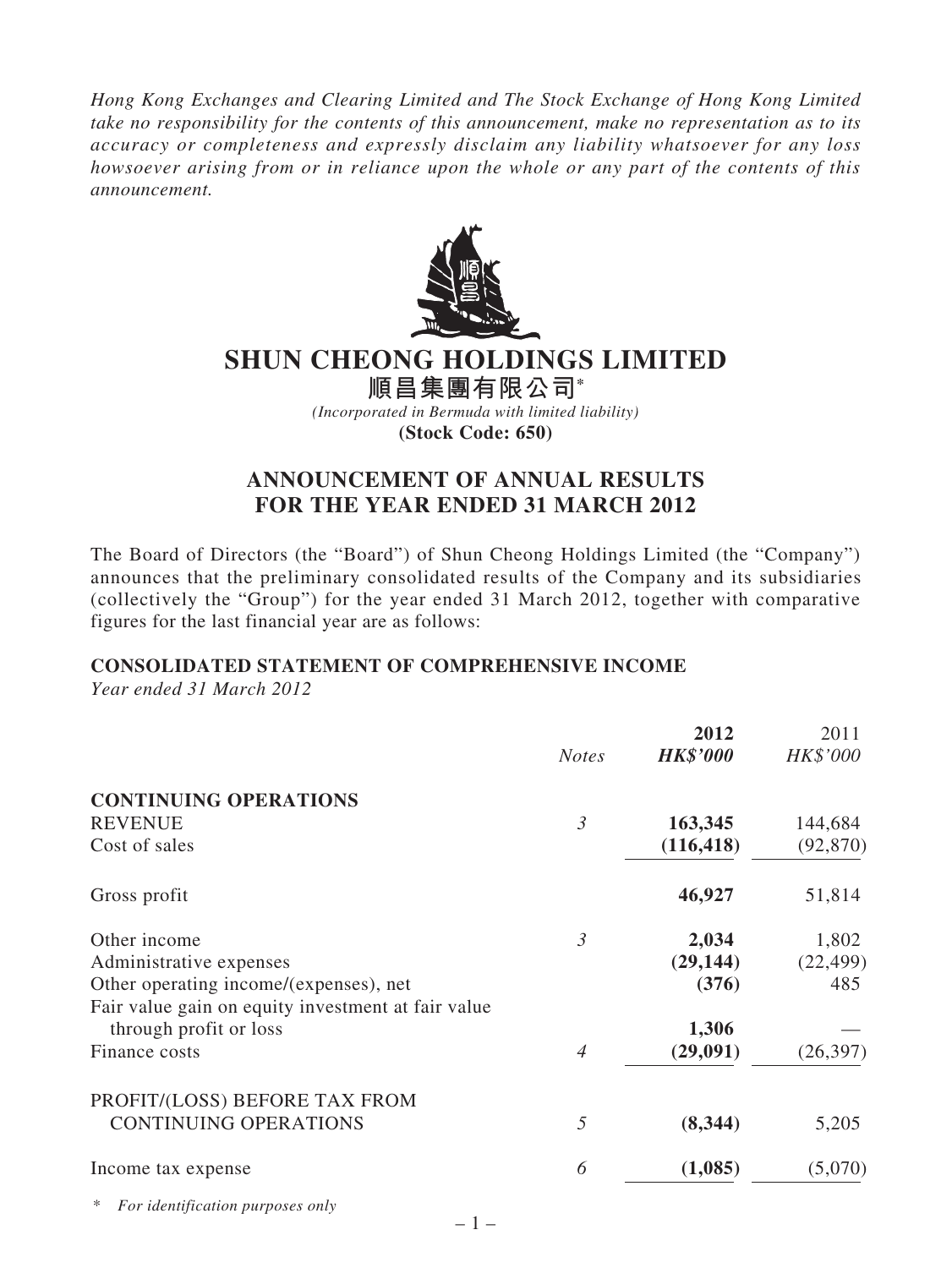*Hong Kong Exchanges and Clearing Limited and The Stock Exchange of Hong Kong Limited take no responsibility for the contents of this announcement, make no representation as to its accuracy or completeness and expressly disclaim any liability whatsoever for any loss howsoever arising from or in reliance upon the whole or any part of the contents of this announcement.*



# **SHUN CHEONG HOLDINGS LIMITED**

**順昌集團有限公司\***

*(Incorporated in Bermuda with limited liability)* **(Stock Code: 650)**

# **ANNOUNCEMENT OF ANNUAL RESULTS FOR THE YEAR ENDED 31 MARCH 2012**

The Board of Directors (the "Board") of Shun Cheong Holdings Limited (the "Company") announces that the preliminary consolidated results of the Company and its subsidiaries (collectively the "Group") for the year ended 31 March 2012, together with comparative figures for the last financial year are as follows:

## **CONSOLIDATED STATEMENT OF COMPREHENSIVE INCOME**

*Year ended 31 March 2012*

|                                                     |                | 2012            | 2011      |
|-----------------------------------------------------|----------------|-----------------|-----------|
|                                                     | <b>Notes</b>   | <b>HK\$'000</b> | HK\$'000  |
| <b>CONTINUING OPERATIONS</b>                        |                |                 |           |
| <b>REVENUE</b>                                      | $\mathfrak{Z}$ | 163,345         | 144,684   |
| Cost of sales                                       |                | (116, 418)      | (92, 870) |
| Gross profit                                        |                | 46,927          | 51,814    |
| Other income                                        | $\mathfrak{Z}$ | 2,034           | 1,802     |
| Administrative expenses                             |                | (29, 144)       | (22, 499) |
| Other operating income/(expenses), net              |                | (376)           | 485       |
| Fair value gain on equity investment at fair value  |                |                 |           |
| through profit or loss                              |                | 1,306           |           |
| Finance costs                                       | $\overline{4}$ | (29, 091)       | (26, 397) |
| PROFIT/(LOSS) BEFORE TAX FROM                       |                |                 |           |
| <b>CONTINUING OPERATIONS</b>                        | 5              | (8,344)         | 5,205     |
| Income tax expense                                  | 6              | (1,085)         | (5,070)   |
| $\ast$<br>For identification purposes only<br>$-1-$ |                |                 |           |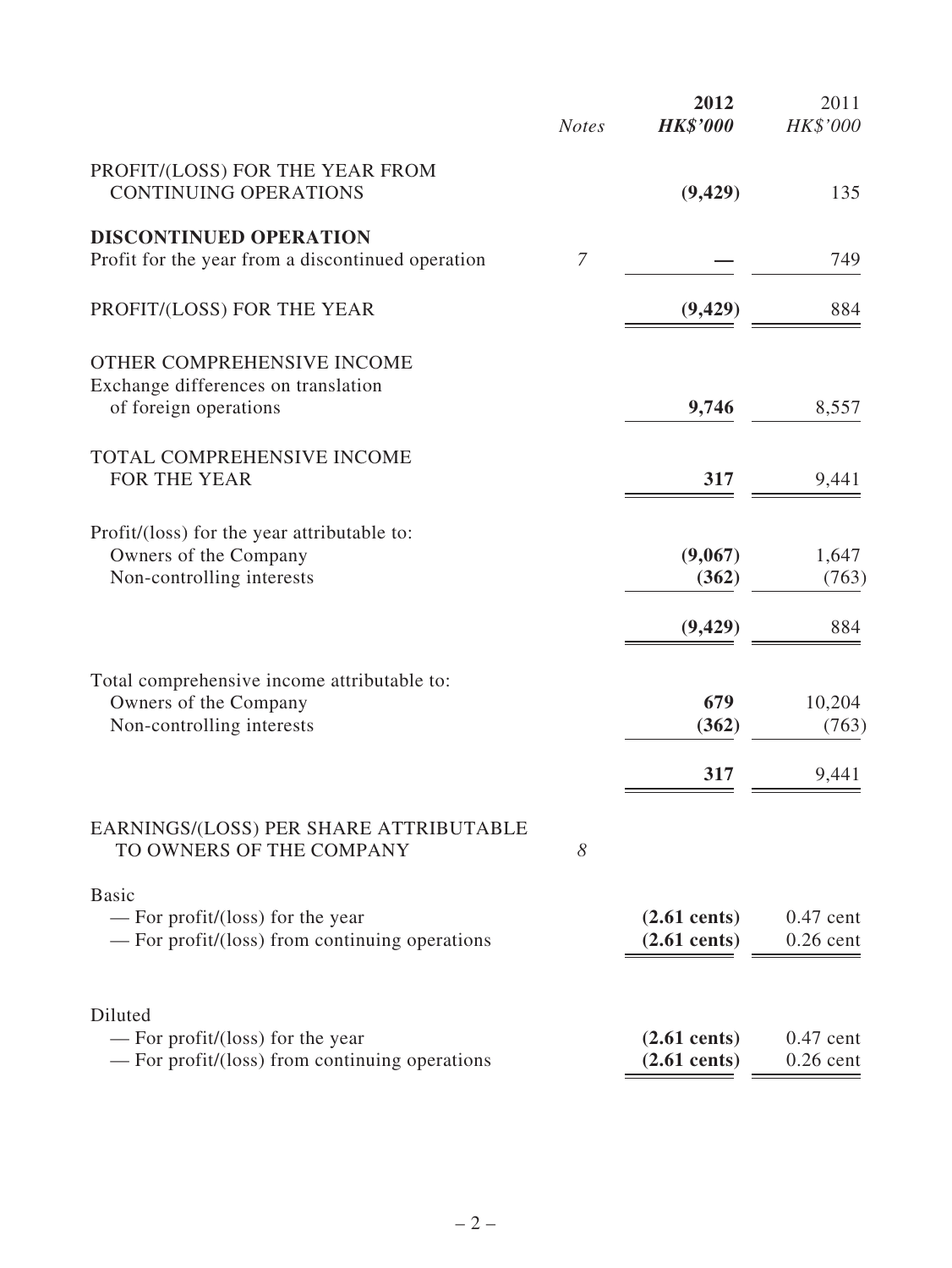|                                                                                                    | <b>Notes</b>   | 2012<br><b>HK\$'000</b>                          | 2011<br>HK\$'000           |
|----------------------------------------------------------------------------------------------------|----------------|--------------------------------------------------|----------------------------|
| PROFIT/(LOSS) FOR THE YEAR FROM<br><b>CONTINUING OPERATIONS</b>                                    |                | (9, 429)                                         | 135                        |
| <b>DISCONTINUED OPERATION</b><br>Profit for the year from a discontinued operation                 | $\overline{7}$ |                                                  | 749                        |
| PROFIT/(LOSS) FOR THE YEAR                                                                         |                | (9, 429)                                         | 884                        |
| OTHER COMPREHENSIVE INCOME<br>Exchange differences on translation<br>of foreign operations         |                | 9,746                                            | 8,557                      |
| TOTAL COMPREHENSIVE INCOME<br>FOR THE YEAR                                                         |                | 317                                              | 9,441                      |
| Profit/(loss) for the year attributable to:<br>Owners of the Company<br>Non-controlling interests  |                | (9,067)<br>(362)                                 | 1,647<br>(763)             |
|                                                                                                    |                | (9, 429)                                         | 884                        |
| Total comprehensive income attributable to:<br>Owners of the Company<br>Non-controlling interests  |                | 679<br>(362)                                     | 10,204<br>(763)            |
|                                                                                                    |                | 317                                              | 9,441                      |
| EARNINGS/(LOSS) PER SHARE ATTRIBUTABLE<br>TO OWNERS OF THE COMPANY                                 | 8              |                                                  |                            |
| <b>Basic</b><br>— For profit/(loss) for the year<br>— For profit/(loss) from continuing operations |                | $(2.61 \text{ cents})$<br>$(2.61 \text{ cents})$ | $0.47$ cent<br>$0.26$ cent |
| Diluted<br>— For profit/(loss) for the year<br>- For profit/(loss) from continuing operations      |                | $(2.61 \text{ cents})$<br>$(2.61$ cents)         | $0.47$ cent<br>$0.26$ cent |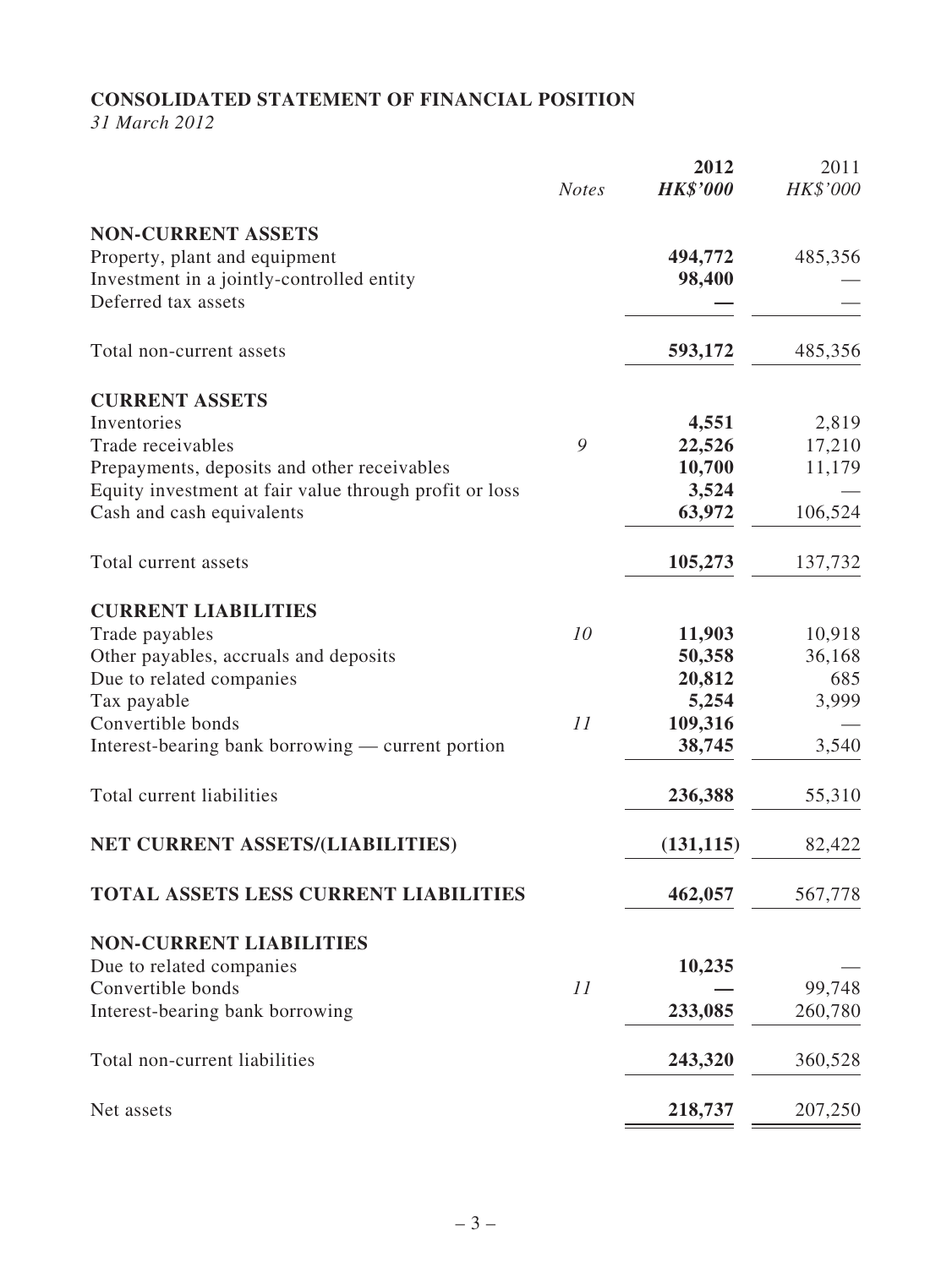# **CONSOLIDATED STATEMENT OF FINANCIAL POSITION**

*31 March 2012*

|                                                        | <b>Notes</b> | 2012<br><b>HK\$'000</b> | 2011<br>HK\$'000 |
|--------------------------------------------------------|--------------|-------------------------|------------------|
| <b>NON-CURRENT ASSETS</b>                              |              |                         |                  |
| Property, plant and equipment                          |              | 494,772                 | 485,356          |
| Investment in a jointly-controlled entity              |              | 98,400                  |                  |
| Deferred tax assets                                    |              |                         |                  |
| Total non-current assets                               |              | 593,172                 | 485,356          |
| <b>CURRENT ASSETS</b>                                  |              |                         |                  |
| Inventories                                            |              | 4,551                   | 2,819            |
| Trade receivables                                      | 9            | 22,526                  | 17,210           |
| Prepayments, deposits and other receivables            |              | 10,700                  | 11,179           |
| Equity investment at fair value through profit or loss |              | 3,524                   |                  |
| Cash and cash equivalents                              |              | 63,972                  | 106,524          |
| Total current assets                                   |              | 105,273                 | 137,732          |
| <b>CURRENT LIABILITIES</b>                             |              |                         |                  |
| Trade payables                                         | 10           | 11,903                  | 10,918           |
| Other payables, accruals and deposits                  |              | 50,358                  | 36,168           |
| Due to related companies                               |              | 20,812                  | 685              |
| Tax payable                                            |              | 5,254                   | 3,999            |
| Convertible bonds                                      | 11           | 109,316                 |                  |
| Interest-bearing bank borrowing — current portion      |              | 38,745                  | 3,540            |
| Total current liabilities                              |              | 236,388                 | 55,310           |
| NET CURRENT ASSETS/(LIABILITIES)                       |              | (131, 115)              | 82,422           |
|                                                        |              |                         |                  |
| <b>TOTAL ASSETS LESS CURRENT LIABILITIES</b>           |              | 462,057                 | 567,778          |
| <b>NON-CURRENT LIABILITIES</b>                         |              |                         |                  |
| Due to related companies                               |              | 10,235                  |                  |
| Convertible bonds                                      | 11           |                         | 99,748           |
| Interest-bearing bank borrowing                        |              | 233,085                 | 260,780          |
| Total non-current liabilities                          |              | 243,320                 | 360,528          |
| Net assets                                             |              | 218,737                 | 207,250          |
|                                                        |              |                         |                  |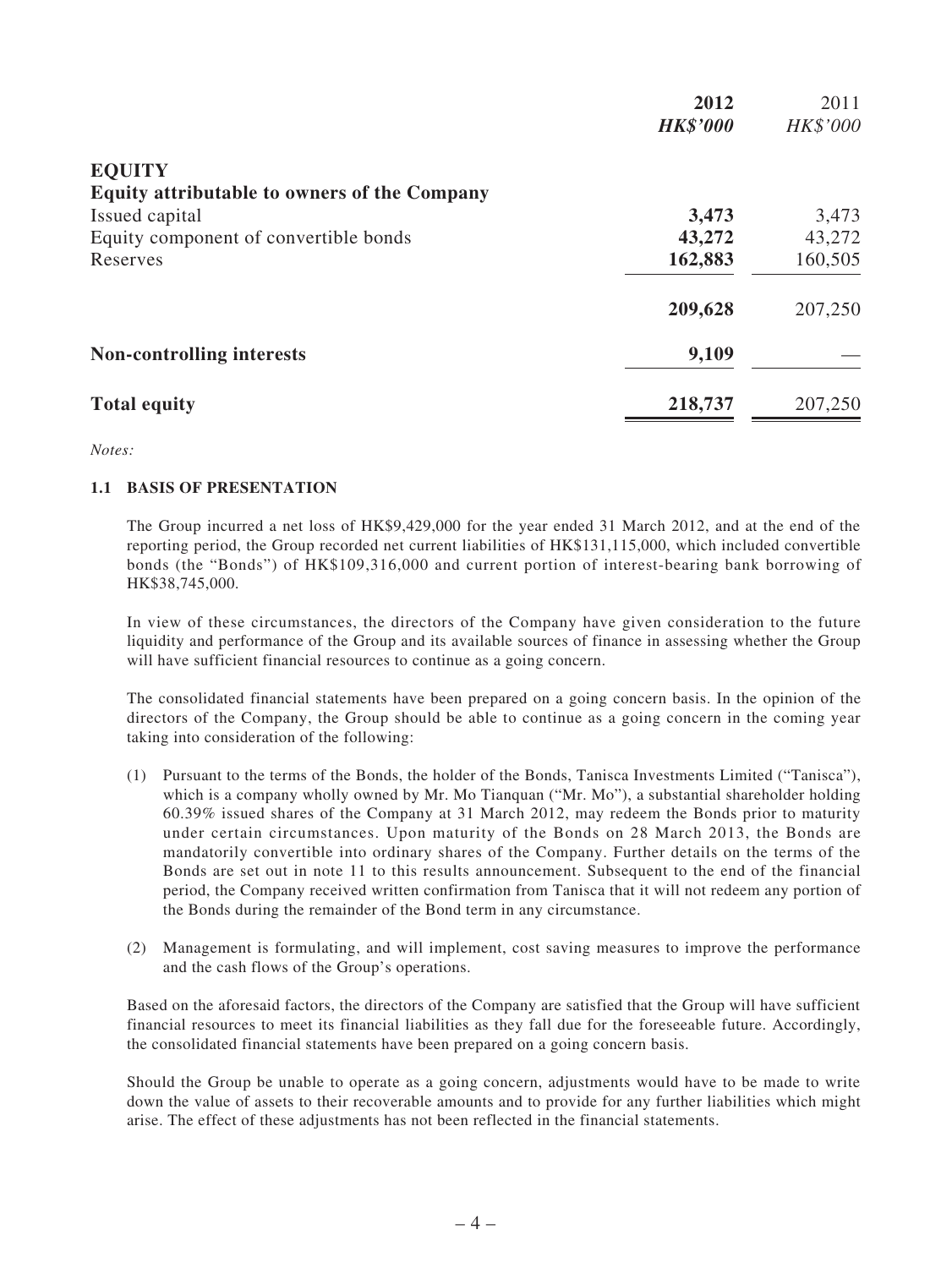|                                                     | 2012            | 2011     |
|-----------------------------------------------------|-----------------|----------|
|                                                     | <b>HK\$'000</b> | HK\$'000 |
| <b>EQUITY</b>                                       |                 |          |
| <b>Equity attributable to owners of the Company</b> |                 |          |
| Issued capital                                      | 3,473           | 3,473    |
| Equity component of convertible bonds               | 43,272          | 43,272   |
| Reserves                                            | 162,883         | 160,505  |
|                                                     | 209,628         | 207,250  |
| <b>Non-controlling interests</b>                    | 9,109           |          |
| <b>Total equity</b>                                 | 218,737         | 207,250  |

#### *Notes:*

#### **1.1 BASIS OF PRESENTATION**

The Group incurred a net loss of HK\$9,429,000 for the year ended 31 March 2012, and at the end of the reporting period, the Group recorded net current liabilities of HK\$131,115,000, which included convertible bonds (the "Bonds") of HK\$109,316,000 and current portion of interest-bearing bank borrowing of HK\$38,745,000.

In view of these circumstances, the directors of the Company have given consideration to the future liquidity and performance of the Group and its available sources of finance in assessing whether the Group will have sufficient financial resources to continue as a going concern.

The consolidated financial statements have been prepared on a going concern basis. In the opinion of the directors of the Company, the Group should be able to continue as a going concern in the coming year taking into consideration of the following:

- (1) Pursuant to the terms of the Bonds, the holder of the Bonds, Tanisca Investments Limited ("Tanisca"), which is a company wholly owned by Mr. Mo Tianquan ("Mr. Mo"), a substantial shareholder holding 60.39% issued shares of the Company at 31 March 2012, may redeem the Bonds prior to maturity under certain circumstances. Upon maturity of the Bonds on 28 March 2013, the Bonds are mandatorily convertible into ordinary shares of the Company. Further details on the terms of the Bonds are set out in note 11 to this results announcement. Subsequent to the end of the financial period, the Company received written confirmation from Tanisca that it will not redeem any portion of the Bonds during the remainder of the Bond term in any circumstance.
- (2) Management is formulating, and will implement, cost saving measures to improve the performance and the cash flows of the Group's operations.

Based on the aforesaid factors, the directors of the Company are satisfied that the Group will have sufficient financial resources to meet its financial liabilities as they fall due for the foreseeable future. Accordingly, the consolidated financial statements have been prepared on a going concern basis.

Should the Group be unable to operate as a going concern, adjustments would have to be made to write down the value of assets to their recoverable amounts and to provide for any further liabilities which might arise. The effect of these adjustments has not been reflected in the financial statements.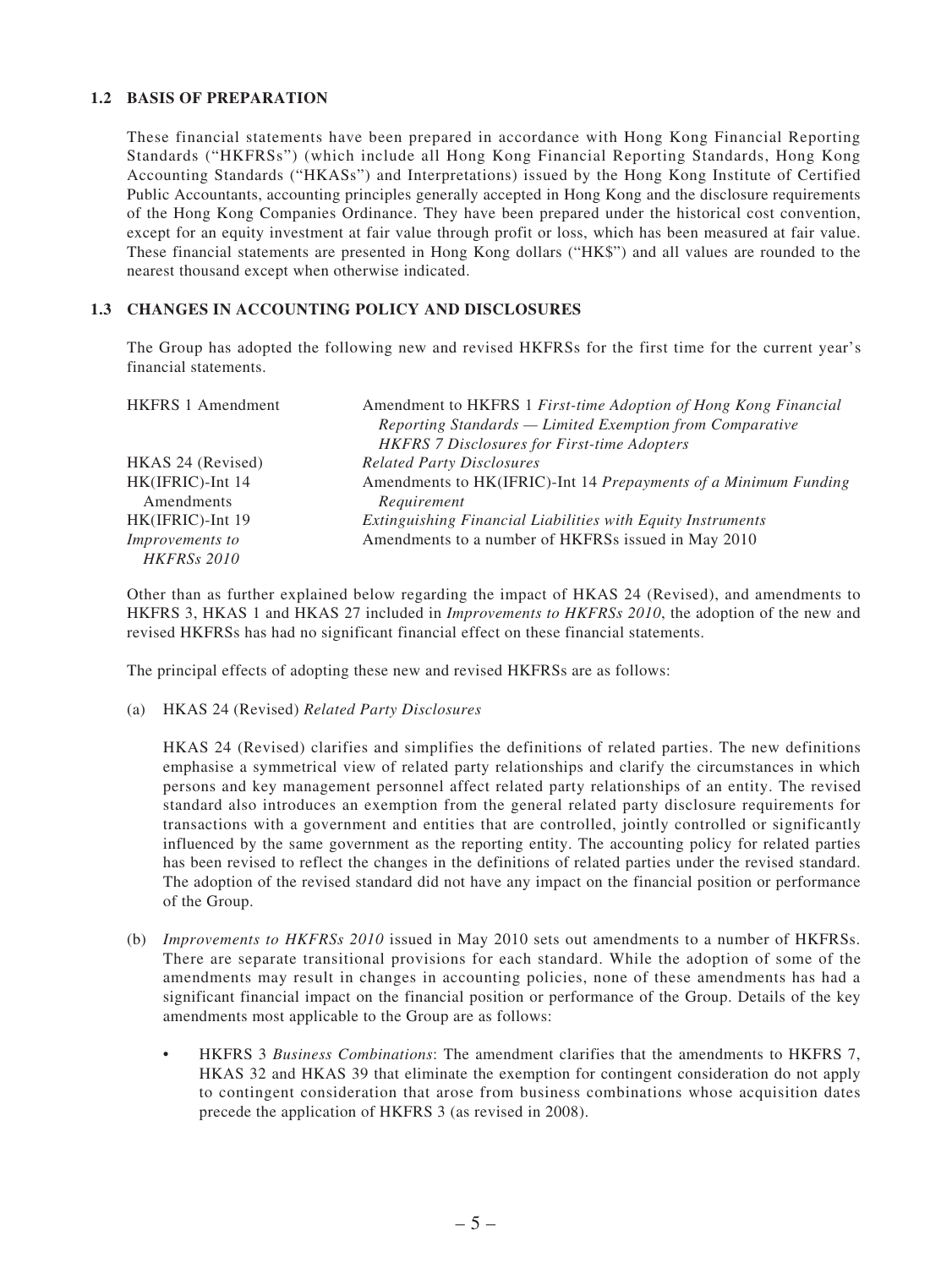#### **1.2 BASIS OF PREPARATION**

These financial statements have been prepared in accordance with Hong Kong Financial Reporting Standards ("HKFRSs") (which include all Hong Kong Financial Reporting Standards, Hong Kong Accounting Standards ("HKASs") and Interpretations) issued by the Hong Kong Institute of Certified Public Accountants, accounting principles generally accepted in Hong Kong and the disclosure requirements of the Hong Kong Companies Ordinance. They have been prepared under the historical cost convention, except for an equity investment at fair value through profit or loss, which has been measured at fair value. These financial statements are presented in Hong Kong dollars ("HK\$") and all values are rounded to the nearest thousand except when otherwise indicated.

### **1.3 CHANGES IN ACCOUNTING POLICY AND DISCLOSURES**

The Group has adopted the following new and revised HKFRSs for the first time for the current year's financial statements.

| <b>HKFRS 1 Amendment</b> | Amendment to HKFRS 1 First-time Adoption of Hong Kong Financial |
|--------------------------|-----------------------------------------------------------------|
|                          | Reporting Standards — Limited Exemption from Comparative        |
|                          | <b>HKFRS 7 Disclosures for First-time Adopters</b>              |
| HKAS 24 (Revised)        | <b>Related Party Disclosures</b>                                |
| HK(IFRIC)-Int 14         | Amendments to HK(IFRIC)-Int 14 Prepayments of a Minimum Funding |
| Amendments               | Requirement                                                     |
| HK(IFRIC)-Int 19         | Extinguishing Financial Liabilities with Equity Instruments     |
| <i>Improvements to</i>   | Amendments to a number of HKFRSs issued in May 2010             |
| <b>HKFRSs 2010</b>       |                                                                 |

Other than as further explained below regarding the impact of HKAS 24 (Revised), and amendments to HKFRS 3, HKAS 1 and HKAS 27 included in *Improvements to HKFRSs 2010*, the adoption of the new and revised HKFRSs has had no significant financial effect on these financial statements.

The principal effects of adopting these new and revised HKFRSs are as follows:

(a) HKAS 24 (Revised) *Related Party Disclosures*

HKAS 24 (Revised) clarifies and simplifies the definitions of related parties. The new definitions emphasise a symmetrical view of related party relationships and clarify the circumstances in which persons and key management personnel affect related party relationships of an entity. The revised standard also introduces an exemption from the general related party disclosure requirements for transactions with a government and entities that are controlled, jointly controlled or significantly influenced by the same government as the reporting entity. The accounting policy for related parties has been revised to reflect the changes in the definitions of related parties under the revised standard. The adoption of the revised standard did not have any impact on the financial position or performance of the Group.

- (b) *Improvements to HKFRSs 2010* issued in May 2010 sets out amendments to a number of HKFRSs. There are separate transitional provisions for each standard. While the adoption of some of the amendments may result in changes in accounting policies, none of these amendments has had a significant financial impact on the financial position or performance of the Group. Details of the key amendments most applicable to the Group are as follows:
	- HKFRS 3 *Business Combinations*: The amendment clarifies that the amendments to HKFRS 7, HKAS 32 and HKAS 39 that eliminate the exemption for contingent consideration do not apply to contingent consideration that arose from business combinations whose acquisition dates precede the application of HKFRS 3 (as revised in 2008).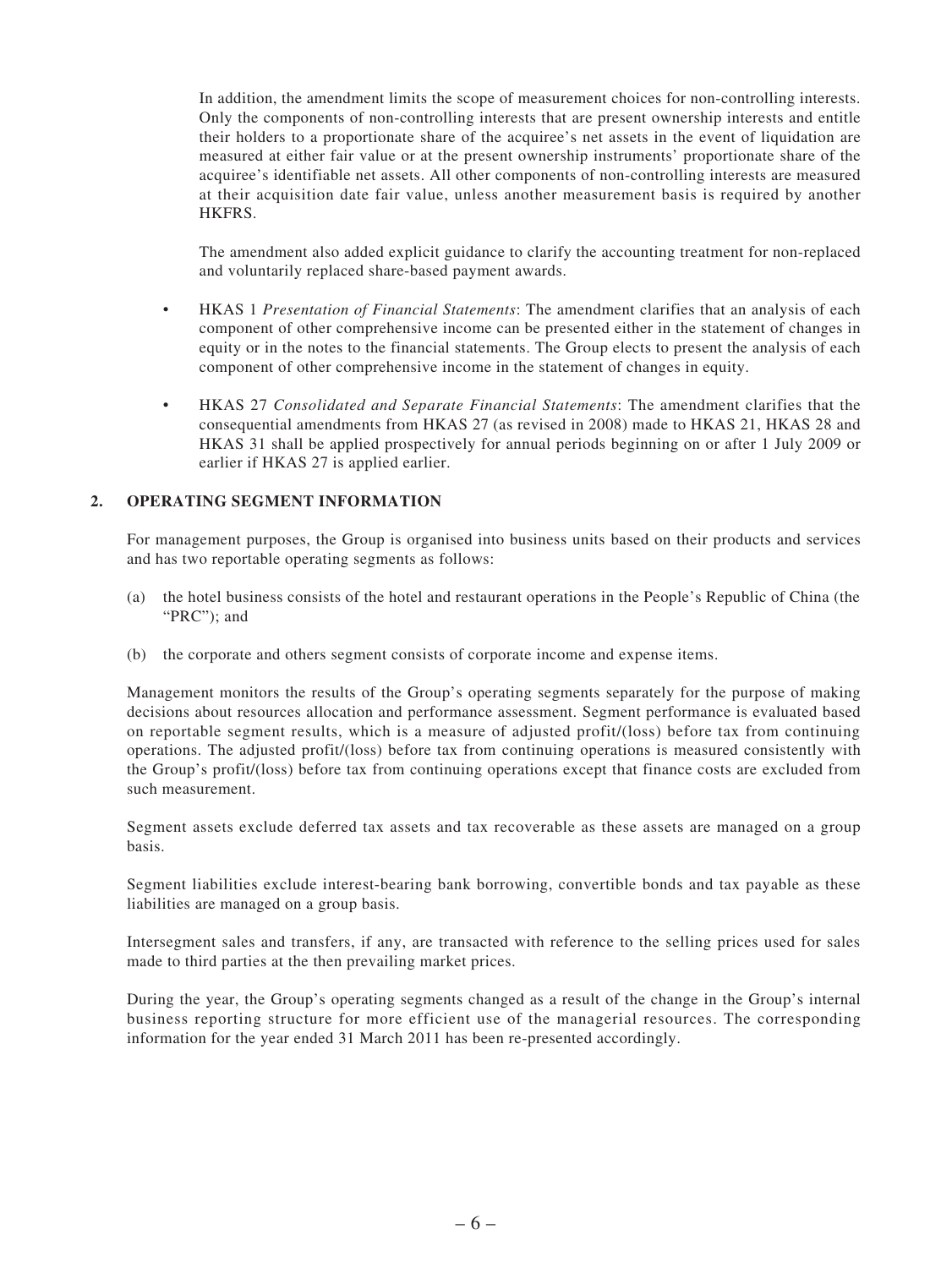In addition, the amendment limits the scope of measurement choices for non-controlling interests. Only the components of non-controlling interests that are present ownership interests and entitle their holders to a proportionate share of the acquiree's net assets in the event of liquidation are measured at either fair value or at the present ownership instruments' proportionate share of the acquiree's identifiable net assets. All other components of non-controlling interests are measured at their acquisition date fair value, unless another measurement basis is required by another HKFRS.

The amendment also added explicit guidance to clarify the accounting treatment for non-replaced and voluntarily replaced share-based payment awards.

- HKAS 1 *Presentation of Financial Statements*: The amendment clarifies that an analysis of each component of other comprehensive income can be presented either in the statement of changes in equity or in the notes to the financial statements. The Group elects to present the analysis of each component of other comprehensive income in the statement of changes in equity.
- HKAS 27 *Consolidated and Separate Financial Statements*: The amendment clarifies that the consequential amendments from HKAS 27 (as revised in 2008) made to HKAS 21, HKAS 28 and HKAS 31 shall be applied prospectively for annual periods beginning on or after 1 July 2009 or earlier if HKAS 27 is applied earlier.

#### **2. OPERATING SEGMENT INFORMATION**

For management purposes, the Group is organised into business units based on their products and services and has two reportable operating segments as follows:

- (a) the hotel business consists of the hotel and restaurant operations in the People's Republic of China (the "PRC"); and
- (b) the corporate and others segment consists of corporate income and expense items.

Management monitors the results of the Group's operating segments separately for the purpose of making decisions about resources allocation and performance assessment. Segment performance is evaluated based on reportable segment results, which is a measure of adjusted profit/(loss) before tax from continuing operations. The adjusted profit/(loss) before tax from continuing operations is measured consistently with the Group's profit/(loss) before tax from continuing operations except that finance costs are excluded from such measurement.

Segment assets exclude deferred tax assets and tax recoverable as these assets are managed on a group basis.

Segment liabilities exclude interest-bearing bank borrowing, convertible bonds and tax payable as these liabilities are managed on a group basis.

Intersegment sales and transfers, if any, are transacted with reference to the selling prices used for sales made to third parties at the then prevailing market prices.

During the year, the Group's operating segments changed as a result of the change in the Group's internal business reporting structure for more efficient use of the managerial resources. The corresponding information for the year ended 31 March 2011 has been re-presented accordingly.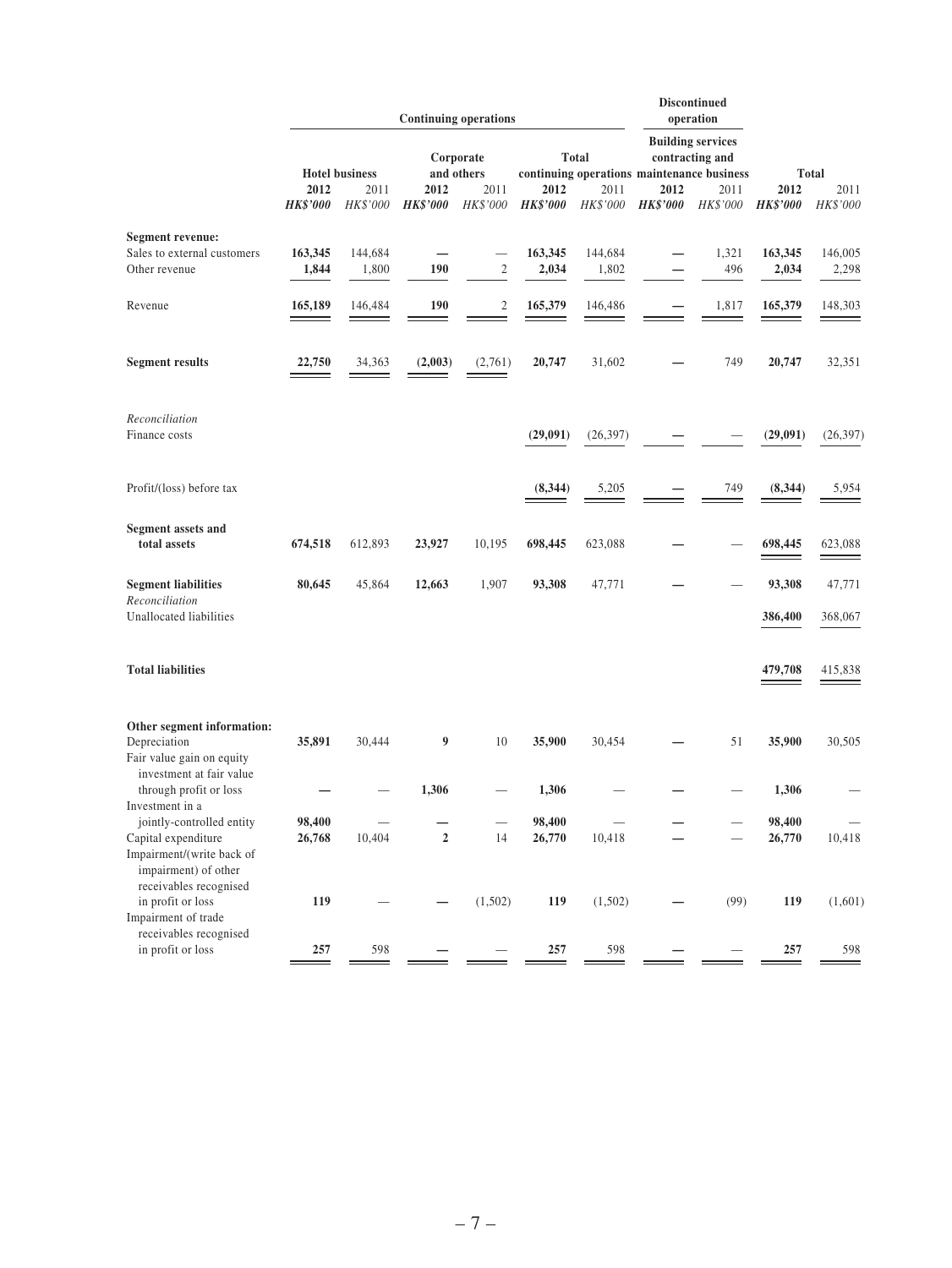|                                                                                                    |                         |                  |                                         | <b>Continuing operations</b> |                         |                                                                                           |                         | <b>Discontinued</b><br>operation |                         |                  |
|----------------------------------------------------------------------------------------------------|-------------------------|------------------|-----------------------------------------|------------------------------|-------------------------|-------------------------------------------------------------------------------------------|-------------------------|----------------------------------|-------------------------|------------------|
|                                                                                                    | <b>Hotel business</b>   |                  | <b>Total</b><br>Corporate<br>and others |                              |                         | <b>Building services</b><br>contracting and<br>continuing operations maintenance business |                         | <b>Total</b>                     |                         |                  |
|                                                                                                    | 2012<br><b>HK\$'000</b> | 2011<br>HK\$'000 | 2012<br><b>HK\$'000</b>                 | 2011<br>HK\$'000             | 2012<br><b>HK\$'000</b> | 2011<br>HK\$'000                                                                          | 2012<br><b>HK\$'000</b> | 2011<br>HK\$'000                 | 2012<br><b>HK\$'000</b> | 2011<br>HK\$'000 |
| <b>Segment revenue:</b>                                                                            |                         |                  |                                         |                              |                         |                                                                                           |                         |                                  |                         |                  |
| Sales to external customers                                                                        | 163,345                 | 144,684          |                                         |                              | 163,345                 | 144,684                                                                                   |                         | 1,321                            | 163,345                 | 146,005          |
| Other revenue                                                                                      | 1,844                   | 1,800            | 190                                     | $\sqrt{2}$                   | 2,034                   | 1,802                                                                                     |                         | 496                              | 2,034                   | 2,298            |
| Revenue                                                                                            | 165,189                 | 146,484          | 190                                     | $\mathfrak{2}$               | 165,379                 | 146,486                                                                                   |                         | 1,817                            | 165,379                 | 148,303          |
| <b>Segment results</b>                                                                             | 22,750                  | 34,363           | (2,003)                                 | (2,761)                      | 20,747                  | 31,602                                                                                    |                         | 749                              | 20,747                  | 32,351           |
| Reconciliation<br>Finance costs                                                                    |                         |                  |                                         |                              | (29,091)                | (26, 397)                                                                                 |                         |                                  | (29,091)                | (26, 397)        |
|                                                                                                    |                         |                  |                                         |                              |                         |                                                                                           |                         |                                  |                         |                  |
| Profit/(loss) before tax                                                                           |                         |                  |                                         |                              | (8, 344)                | 5,205                                                                                     |                         | 749                              | (8, 344)                | 5,954            |
| <b>Segment assets and</b>                                                                          |                         |                  |                                         |                              |                         |                                                                                           |                         |                                  |                         |                  |
| total assets                                                                                       | 674,518                 | 612,893          | 23,927                                  | 10,195                       | 698,445                 | 623,088                                                                                   |                         |                                  | 698,445                 | 623,088          |
| <b>Segment liabilities</b><br>Reconciliation                                                       | 80,645                  | 45,864           | 12,663                                  | 1,907                        | 93,308                  | 47,771                                                                                    |                         |                                  | 93,308                  | 47,771           |
| Unallocated liabilities                                                                            |                         |                  |                                         |                              |                         |                                                                                           |                         |                                  | 386,400                 | 368,067          |
| <b>Total liabilities</b>                                                                           |                         |                  |                                         |                              |                         |                                                                                           |                         |                                  | 479,708                 | 415,838          |
| Other segment information:                                                                         |                         |                  |                                         |                              |                         |                                                                                           |                         |                                  |                         |                  |
| Depreciation<br>Fair value gain on equity<br>investment at fair value                              | 35,891                  | 30,444           | 9                                       | 10                           | 35,900                  | 30,454                                                                                    |                         | 51                               | 35,900                  | 30,505           |
| through profit or loss<br>Investment in a                                                          |                         |                  | 1,306                                   |                              | 1,306                   |                                                                                           |                         |                                  | 1,306                   |                  |
| jointly-controlled entity                                                                          | 98,400                  |                  |                                         |                              | 98,400                  |                                                                                           |                         |                                  | 98,400                  |                  |
| Capital expenditure<br>Impairment/(write back of<br>impairment) of other<br>receivables recognised | 26,768                  | 10,404           | $\mathbf 2$                             | 14                           | 26,770                  | 10,418                                                                                    |                         |                                  | 26,770                  | 10,418           |
| in profit or loss<br>Impairment of trade                                                           | 119                     |                  |                                         | (1,502)                      | 119                     | (1,502)                                                                                   |                         | (99)                             | 119                     | (1,601)          |
| receivables recognised<br>in profit or loss                                                        | $\frac{257}{ }$         | $\frac{598}{1}$  |                                         |                              | 257                     | $\frac{598}{ }$                                                                           |                         |                                  | 257                     | 598              |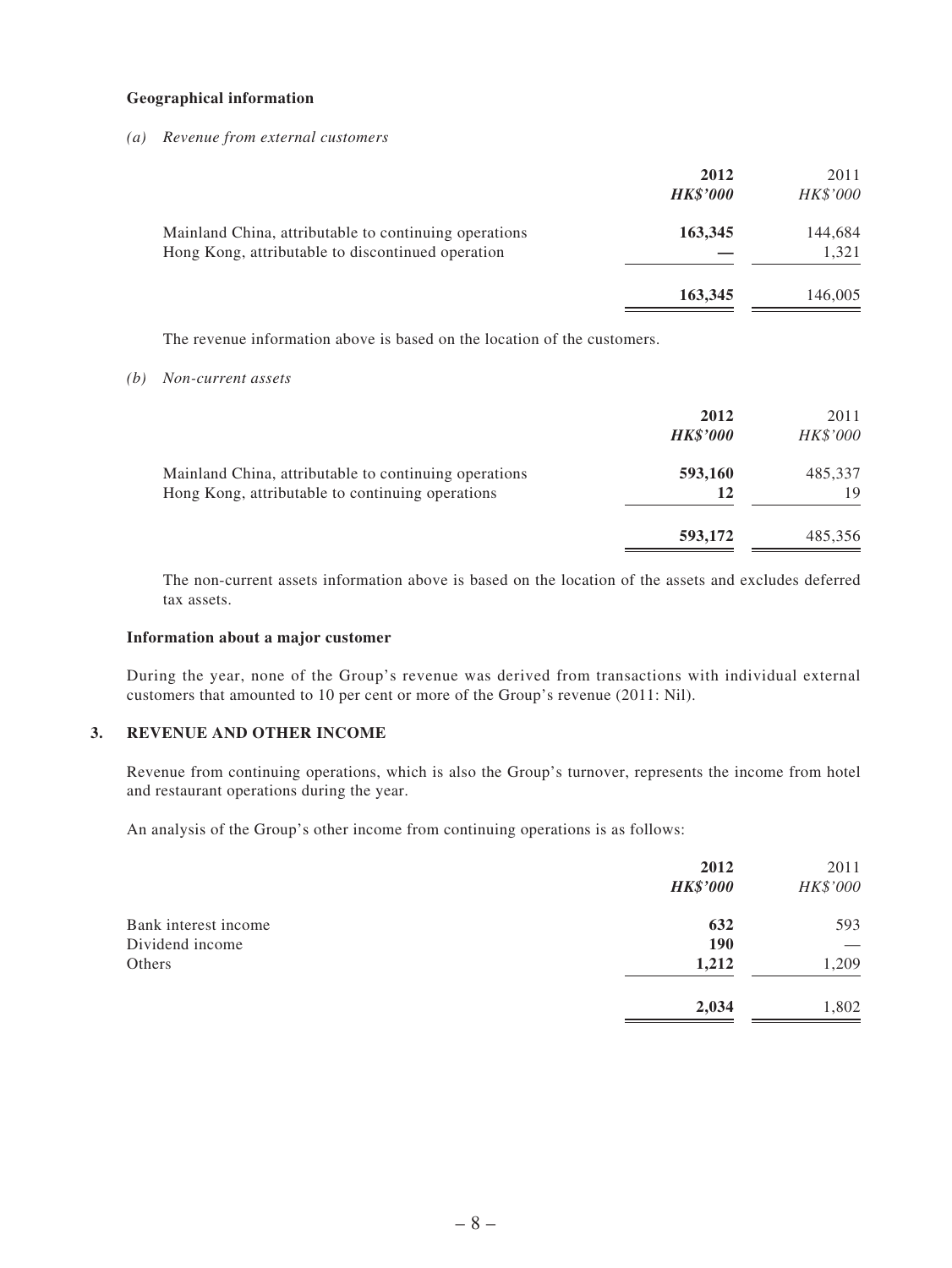#### **Geographical information**

*(a) Revenue from external customers*

|                                                                                                            | 2012<br><b>HK\$'000</b> | 2011<br>HK\$'000 |
|------------------------------------------------------------------------------------------------------------|-------------------------|------------------|
| Mainland China, attributable to continuing operations<br>Hong Kong, attributable to discontinued operation | 163,345                 | 144,684<br>1,321 |
|                                                                                                            | 163,345                 | 146,005          |

The revenue information above is based on the location of the customers.

*(b) Non-current assets*

|                                                                                                           | 2012<br><b>HK\$'000</b> | 2011<br><i>HK\$'000</i> |
|-----------------------------------------------------------------------------------------------------------|-------------------------|-------------------------|
| Mainland China, attributable to continuing operations<br>Hong Kong, attributable to continuing operations | 593,160<br>12           | 485,337<br>19           |
|                                                                                                           | 593,172                 | 485,356                 |

The non-current assets information above is based on the location of the assets and excludes deferred tax assets.

#### **Information about a major customer**

During the year, none of the Group's revenue was derived from transactions with individual external customers that amounted to 10 per cent or more of the Group's revenue (2011: Nil).

### **3. REVENUE AND OTHER INCOME**

Revenue from continuing operations, which is also the Group's turnover, represents the income from hotel and restaurant operations during the year.

An analysis of the Group's other income from continuing operations is as follows:

|                      | 2012<br><b>HK\$'000</b> | 2011<br>HK\$'000 |
|----------------------|-------------------------|------------------|
| Bank interest income | 632                     | 593              |
| Dividend income      | <b>190</b>              |                  |
| Others               | 1,212                   | 1,209            |
|                      | 2,034                   | 1,802            |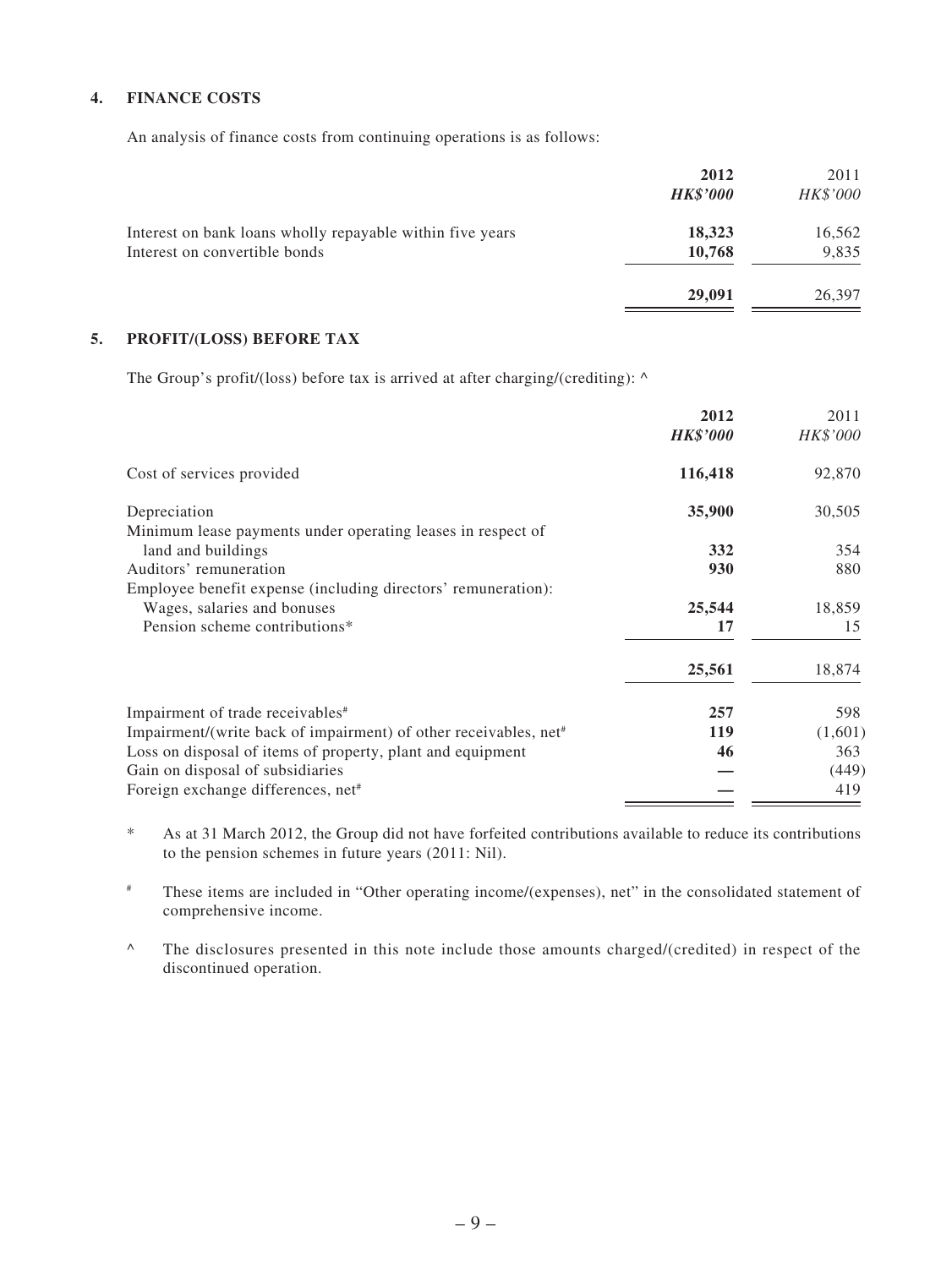### **4. FINANCE COSTS**

An analysis of finance costs from continuing operations is as follows:

|                                                                                            | 2012<br><b>HK\$'000</b> | 2011<br>HK\$'000 |
|--------------------------------------------------------------------------------------------|-------------------------|------------------|
| Interest on bank loans wholly repayable within five years<br>Interest on convertible bonds | 18,323<br>10,768        | 16,562<br>9,835  |
|                                                                                            | 29,091                  | 26,397           |

### **5. PROFIT/(LOSS) BEFORE TAX**

The Group's profit/(loss) before tax is arrived at after charging/(crediting): ^

|                                                                              | 2012<br><b>HK\$'000</b> | 2011<br>HK\$'000 |
|------------------------------------------------------------------------------|-------------------------|------------------|
| Cost of services provided                                                    | 116,418                 | 92,870           |
| Depreciation<br>Minimum lease payments under operating leases in respect of  | 35,900                  | 30,505           |
| land and buildings                                                           | 332                     | 354              |
| Auditors' remuneration                                                       | 930                     | 880              |
| Employee benefit expense (including directors' remuneration):                |                         |                  |
| Wages, salaries and bonuses                                                  | 25,544                  | 18,859           |
| Pension scheme contributions*                                                | 17                      | 15               |
|                                                                              | 25,561                  | 18,874           |
| Impairment of trade receivables <sup>#</sup>                                 | 257                     | 598              |
| Impairment/(write back of impairment) of other receivables, net <sup>#</sup> | 119                     | (1,601)          |
| Loss on disposal of items of property, plant and equipment                   | 46                      | 363              |
| Gain on disposal of subsidiaries                                             |                         | (449)            |
| Foreign exchange differences, net <sup>#</sup>                               |                         | 419              |

\* As at 31 March 2012, the Group did not have forfeited contributions available to reduce its contributions to the pension schemes in future years (2011: Nil).

# These items are included in "Other operating income/(expenses), net" in the consolidated statement of comprehensive income.

^ The disclosures presented in this note include those amounts charged/(credited) in respect of the discontinued operation.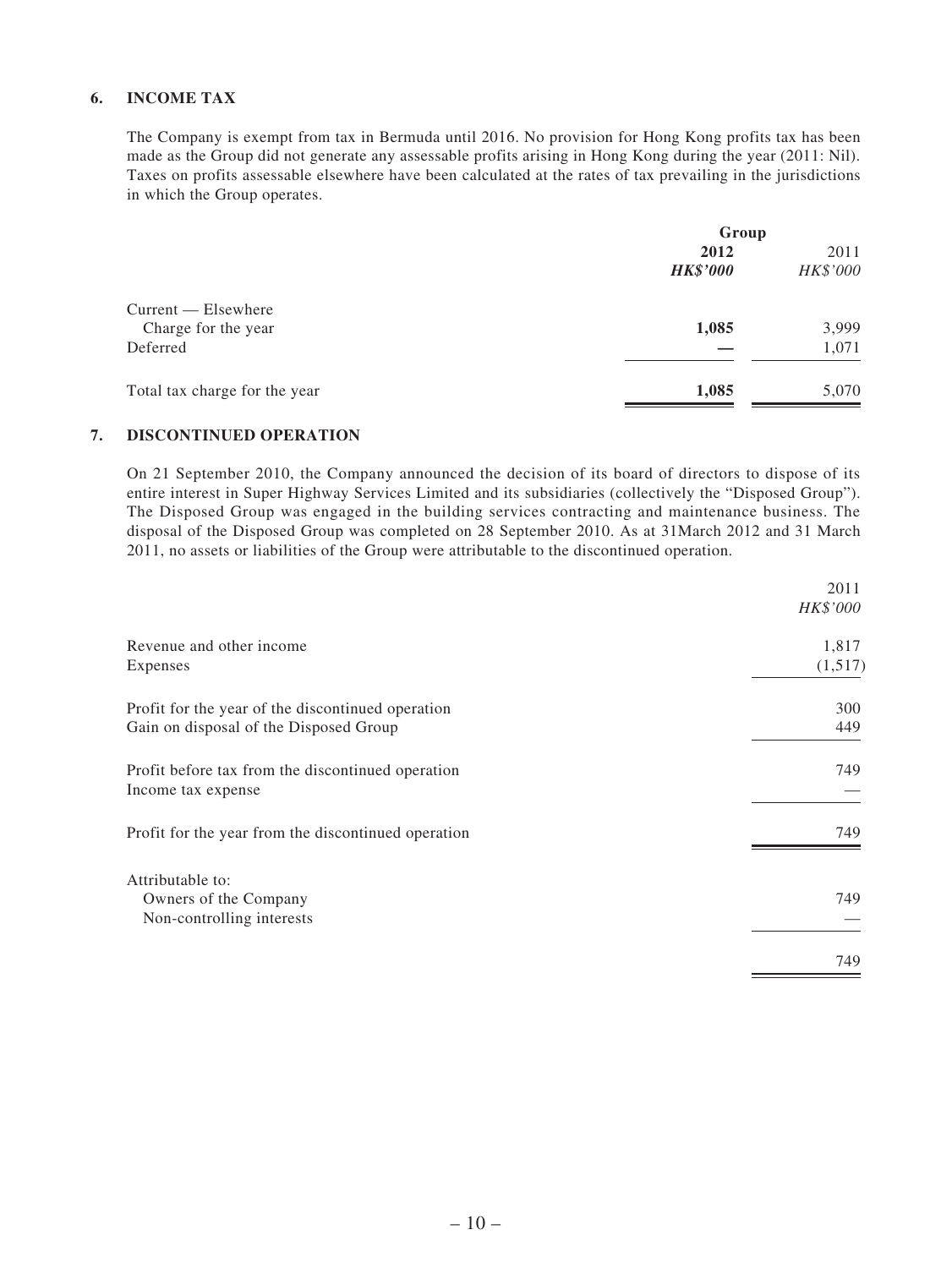### **6. INCOME TAX**

The Company is exempt from tax in Bermuda until 2016. No provision for Hong Kong profits tax has been made as the Group did not generate any assessable profits arising in Hong Kong during the year (2011: Nil). Taxes on profits assessable elsewhere have been calculated at the rates of tax prevailing in the jurisdictions in which the Group operates.

| 2012            | 2011     |
|-----------------|----------|
| <b>HK\$'000</b> | HK\$'000 |
|                 |          |
| 1,085           | 3,999    |
|                 | 1,071    |
| 1,085           | 5,070    |
|                 | Group    |

#### **7. DISCONTINUED OPERATION**

On 21 September 2010, the Company announced the decision of its board of directors to dispose of its entire interest in Super Highway Services Limited and its subsidiaries (collectively the "Disposed Group"). The Disposed Group was engaged in the building services contracting and maintenance business. The disposal of the Disposed Group was completed on 28 September 2010. As at 31March 2012 and 31 March 2011, no assets or liabilities of the Group were attributable to the discontinued operation.

|                                                                                             | 2011<br>HK\$'000 |
|---------------------------------------------------------------------------------------------|------------------|
| Revenue and other income<br>Expenses                                                        | 1,817<br>(1,517) |
| Profit for the year of the discontinued operation<br>Gain on disposal of the Disposed Group | 300<br>449       |
| Profit before tax from the discontinued operation<br>Income tax expense                     | 749              |
| Profit for the year from the discontinued operation                                         | 749              |
| Attributable to:<br>Owners of the Company<br>Non-controlling interests                      | 749              |
|                                                                                             | 749              |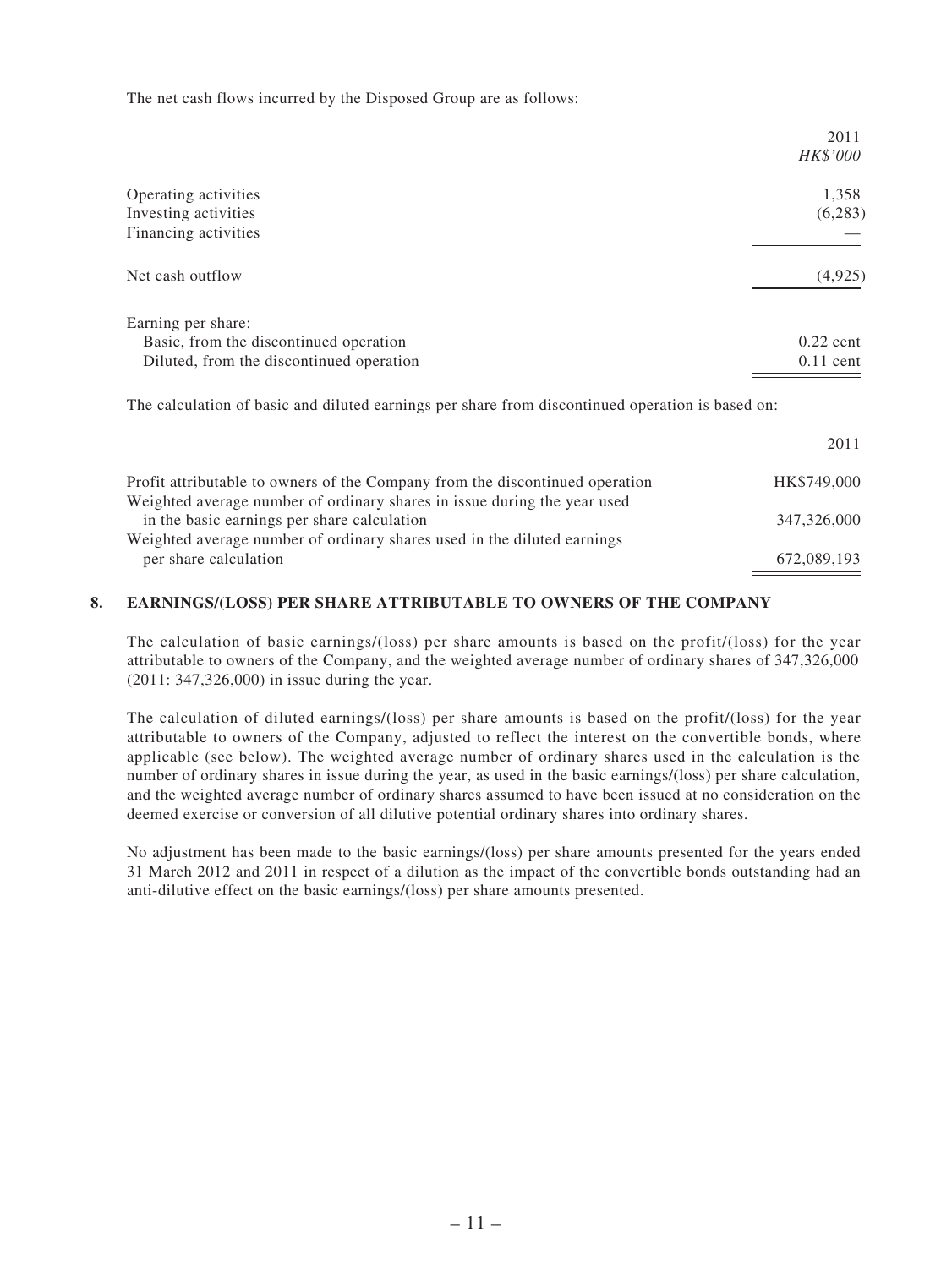The net cash flows incurred by the Disposed Group are as follows:

|                                          | 2011<br>HK\$'000 |
|------------------------------------------|------------------|
| Operating activities                     | 1,358            |
| Investing activities                     | (6, 283)         |
| Financing activities                     |                  |
| Net cash outflow                         | (4,925)          |
| Earning per share:                       |                  |
| Basic, from the discontinued operation   | $0.22$ cent      |
| Diluted, from the discontinued operation | $0.11$ cent      |

The calculation of basic and diluted earnings per share from discontinued operation is based on:

|                                                                              | 2011        |
|------------------------------------------------------------------------------|-------------|
| Profit attributable to owners of the Company from the discontinued operation | HK\$749,000 |
| Weighted average number of ordinary shares in issue during the year used     |             |
| in the basic earnings per share calculation                                  | 347,326,000 |
| Weighted average number of ordinary shares used in the diluted earnings      |             |
| per share calculation                                                        | 672,089,193 |

### **8. EARNINGS/(LOSS) PER SHARE ATTRIBUTABLE TO OWNERS OF THE COMPANY**

The calculation of basic earnings/(loss) per share amounts is based on the profit/(loss) for the year attributable to owners of the Company, and the weighted average number of ordinary shares of 347,326,000 (2011: 347,326,000) in issue during the year.

The calculation of diluted earnings/(loss) per share amounts is based on the profit/(loss) for the year attributable to owners of the Company, adjusted to reflect the interest on the convertible bonds, where applicable (see below). The weighted average number of ordinary shares used in the calculation is the number of ordinary shares in issue during the year, as used in the basic earnings/(loss) per share calculation, and the weighted average number of ordinary shares assumed to have been issued at no consideration on the deemed exercise or conversion of all dilutive potential ordinary shares into ordinary shares.

No adjustment has been made to the basic earnings/(loss) per share amounts presented for the years ended 31 March 2012 and 2011 in respect of a dilution as the impact of the convertible bonds outstanding had an anti-dilutive effect on the basic earnings/(loss) per share amounts presented.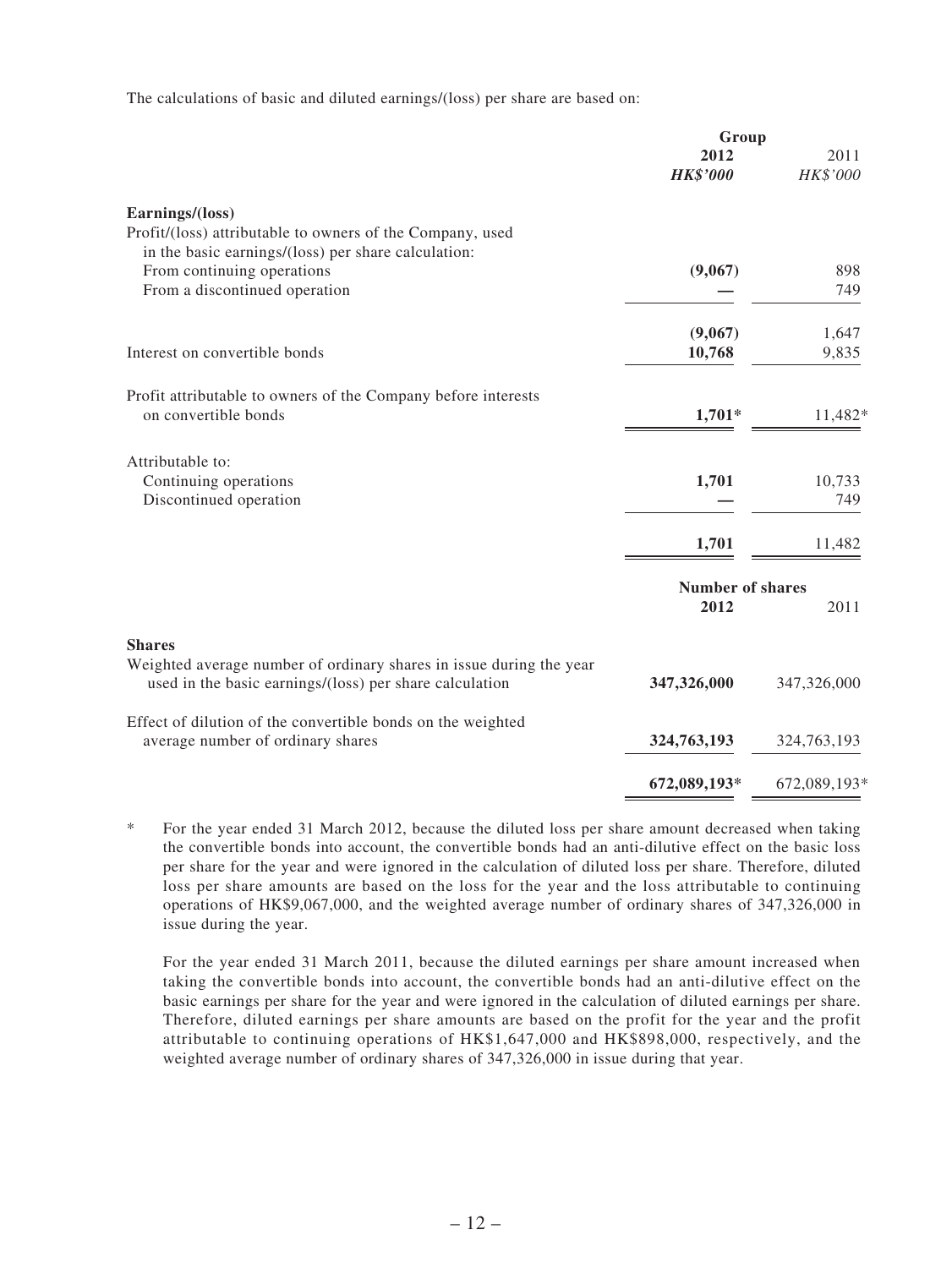The calculations of basic and diluted earnings/(loss) per share are based on:

|                                                                                                                  | Group                   |              |
|------------------------------------------------------------------------------------------------------------------|-------------------------|--------------|
|                                                                                                                  | 2012                    | 2011         |
|                                                                                                                  | <b>HK\$'000</b>         | HK\$'000     |
| Earnings/(loss)                                                                                                  |                         |              |
| Profit/(loss) attributable to owners of the Company, used<br>in the basic earnings/(loss) per share calculation: |                         |              |
| From continuing operations                                                                                       | (9,067)                 | 898          |
|                                                                                                                  |                         |              |
| From a discontinued operation                                                                                    |                         | 749          |
|                                                                                                                  | (9,067)                 | 1,647        |
| Interest on convertible bonds                                                                                    | 10,768                  | 9,835        |
|                                                                                                                  |                         |              |
| Profit attributable to owners of the Company before interests                                                    |                         |              |
| on convertible bonds                                                                                             | $1,701*$                | 11,482*      |
| Attributable to:                                                                                                 |                         |              |
| Continuing operations                                                                                            | 1,701                   | 10,733       |
| Discontinued operation                                                                                           |                         | 749          |
|                                                                                                                  |                         |              |
|                                                                                                                  | 1,701                   | 11,482       |
|                                                                                                                  | <b>Number of shares</b> |              |
|                                                                                                                  | 2012                    | 2011         |
| <b>Shares</b>                                                                                                    |                         |              |
| Weighted average number of ordinary shares in issue during the year                                              |                         |              |
| used in the basic earnings/(loss) per share calculation                                                          | 347,326,000             | 347,326,000  |
| Effect of dilution of the convertible bonds on the weighted                                                      |                         |              |
| average number of ordinary shares                                                                                | 324,763,193             | 324,763,193  |
|                                                                                                                  | 672,089,193*            | 672,089,193* |
|                                                                                                                  |                         |              |

\* For the year ended 31 March 2012, because the diluted loss per share amount decreased when taking the convertible bonds into account, the convertible bonds had an anti-dilutive effect on the basic loss per share for the year and were ignored in the calculation of diluted loss per share. Therefore, diluted loss per share amounts are based on the loss for the year and the loss attributable to continuing operations of HK\$9,067,000, and the weighted average number of ordinary shares of 347,326,000 in issue during the year.

For the year ended 31 March 2011, because the diluted earnings per share amount increased when taking the convertible bonds into account, the convertible bonds had an anti-dilutive effect on the basic earnings per share for the year and were ignored in the calculation of diluted earnings per share. Therefore, diluted earnings per share amounts are based on the profit for the year and the profit attributable to continuing operations of HK\$1,647,000 and HK\$898,000, respectively, and the weighted average number of ordinary shares of 347,326,000 in issue during that year.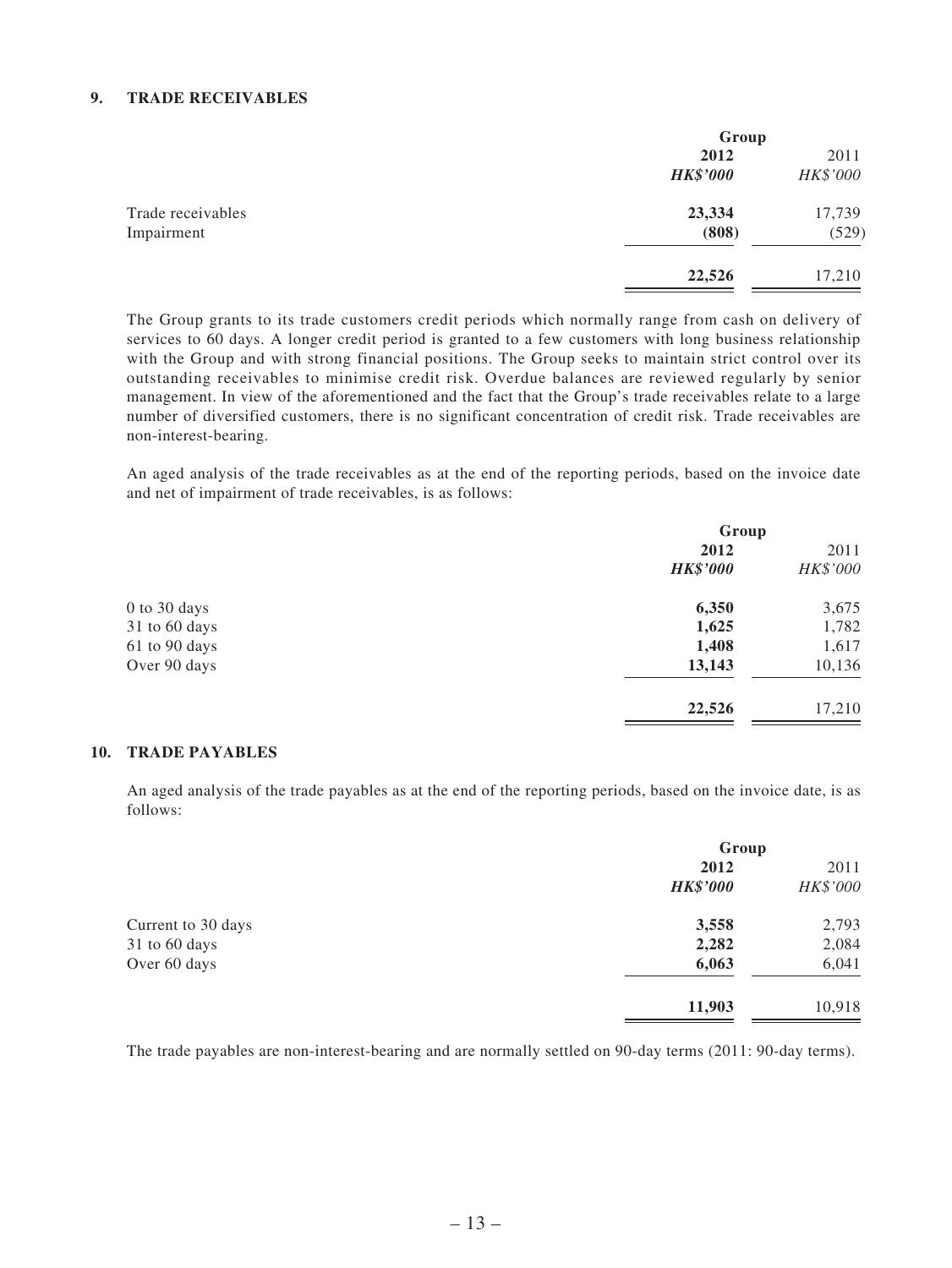#### **9. TRADE RECEIVABLES**

|                   | Group           |          |
|-------------------|-----------------|----------|
|                   | 2012            | 2011     |
|                   | <b>HK\$'000</b> | HK\$'000 |
| Trade receivables | 23,334          | 17,739   |
| Impairment        | (808)           | (529)    |
|                   | 22,526          | 17,210   |

The Group grants to its trade customers credit periods which normally range from cash on delivery of services to 60 days. A longer credit period is granted to a few customers with long business relationship with the Group and with strong financial positions. The Group seeks to maintain strict control over its outstanding receivables to minimise credit risk. Overdue balances are reviewed regularly by senior management. In view of the aforementioned and the fact that the Group's trade receivables relate to a large number of diversified customers, there is no significant concentration of credit risk. Trade receivables are non-interest-bearing.

An aged analysis of the trade receivables as at the end of the reporting periods, based on the invoice date and net of impairment of trade receivables, is as follows:

|                   | Group           |          |
|-------------------|-----------------|----------|
|                   | 2012            | 2011     |
|                   | <b>HK\$'000</b> | HK\$'000 |
| 0 to 30 days      | 6,350           | 3,675    |
| $31$ to $60$ days | 1,625           | 1,782    |
| 61 to 90 days     | 1,408           | 1,617    |
| Over 90 days      | 13,143          | 10,136   |
|                   | 22,526          | 17,210   |

#### **10. TRADE PAYABLES**

An aged analysis of the trade payables as at the end of the reporting periods, based on the invoice date, is as follows:

|                    | Group           |          |
|--------------------|-----------------|----------|
|                    | 2012            | 2011     |
|                    | <b>HK\$'000</b> | HK\$'000 |
| Current to 30 days | 3,558           | 2,793    |
| 31 to 60 days      | 2,282           | 2,084    |
| Over 60 days       | 6,063           | 6,041    |
|                    | 11,903          | 10,918   |

The trade payables are non-interest-bearing and are normally settled on 90-day terms (2011: 90-day terms).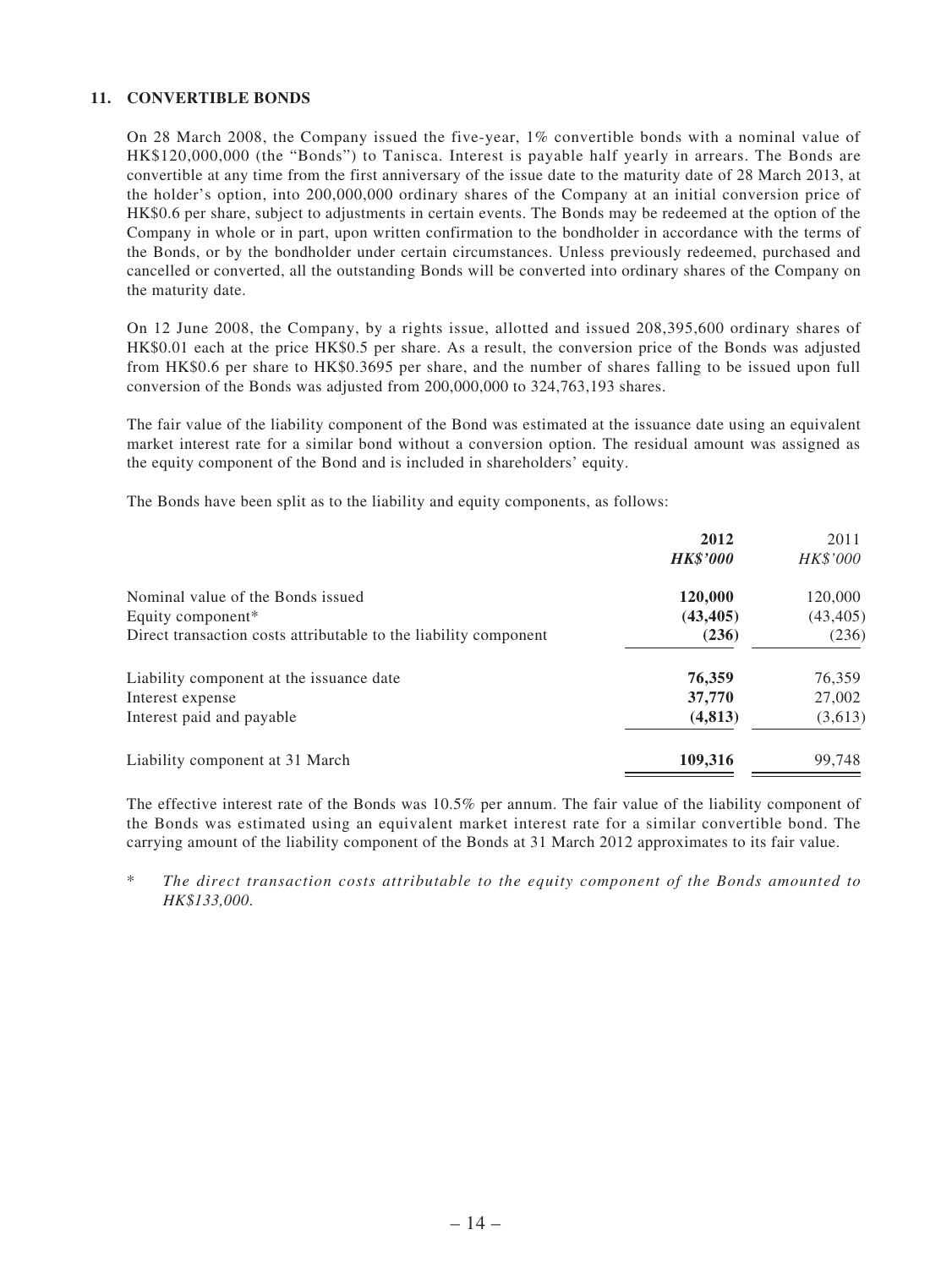#### **11. CONVERTIBLE BONDS**

On 28 March 2008, the Company issued the five-year, 1% convertible bonds with a nominal value of HK\$120,000,000 (the "Bonds") to Tanisca. Interest is payable half yearly in arrears. The Bonds are convertible at any time from the first anniversary of the issue date to the maturity date of 28 March 2013, at the holder's option, into 200,000,000 ordinary shares of the Company at an initial conversion price of HK\$0.6 per share, subject to adjustments in certain events. The Bonds may be redeemed at the option of the Company in whole or in part, upon written confirmation to the bondholder in accordance with the terms of the Bonds, or by the bondholder under certain circumstances. Unless previously redeemed, purchased and cancelled or converted, all the outstanding Bonds will be converted into ordinary shares of the Company on the maturity date.

On 12 June 2008, the Company, by a rights issue, allotted and issued 208,395,600 ordinary shares of HK\$0.01 each at the price HK\$0.5 per share. As a result, the conversion price of the Bonds was adjusted from HK\$0.6 per share to HK\$0.3695 per share, and the number of shares falling to be issued upon full conversion of the Bonds was adjusted from 200,000,000 to 324,763,193 shares.

The fair value of the liability component of the Bond was estimated at the issuance date using an equivalent market interest rate for a similar bond without a conversion option. The residual amount was assigned as the equity component of the Bond and is included in shareholders' equity.

The Bonds have been split as to the liability and equity components, as follows:

|                                                                  | 2012<br><b>HK\$'000</b> | 2011<br>HK\$'000 |
|------------------------------------------------------------------|-------------------------|------------------|
| Nominal value of the Bonds issued                                | 120,000                 | 120,000          |
| Equity component*                                                | (43, 405)               | (43, 405)        |
| Direct transaction costs attributable to the liability component | (236)                   | (236)            |
| Liability component at the issuance date                         | 76,359                  | 76,359           |
| Interest expense                                                 | 37,770                  | 27,002           |
| Interest paid and payable                                        | (4,813)                 | (3,613)          |
| Liability component at 31 March                                  | 109,316                 | 99,748           |

The effective interest rate of the Bonds was 10.5% per annum. The fair value of the liability component of the Bonds was estimated using an equivalent market interest rate for a similar convertible bond. The carrying amount of the liability component of the Bonds at 31 March 2012 approximates to its fair value.

\* *The direct transaction costs attributable to the equity component of the Bonds amounted to HK\$133,000*.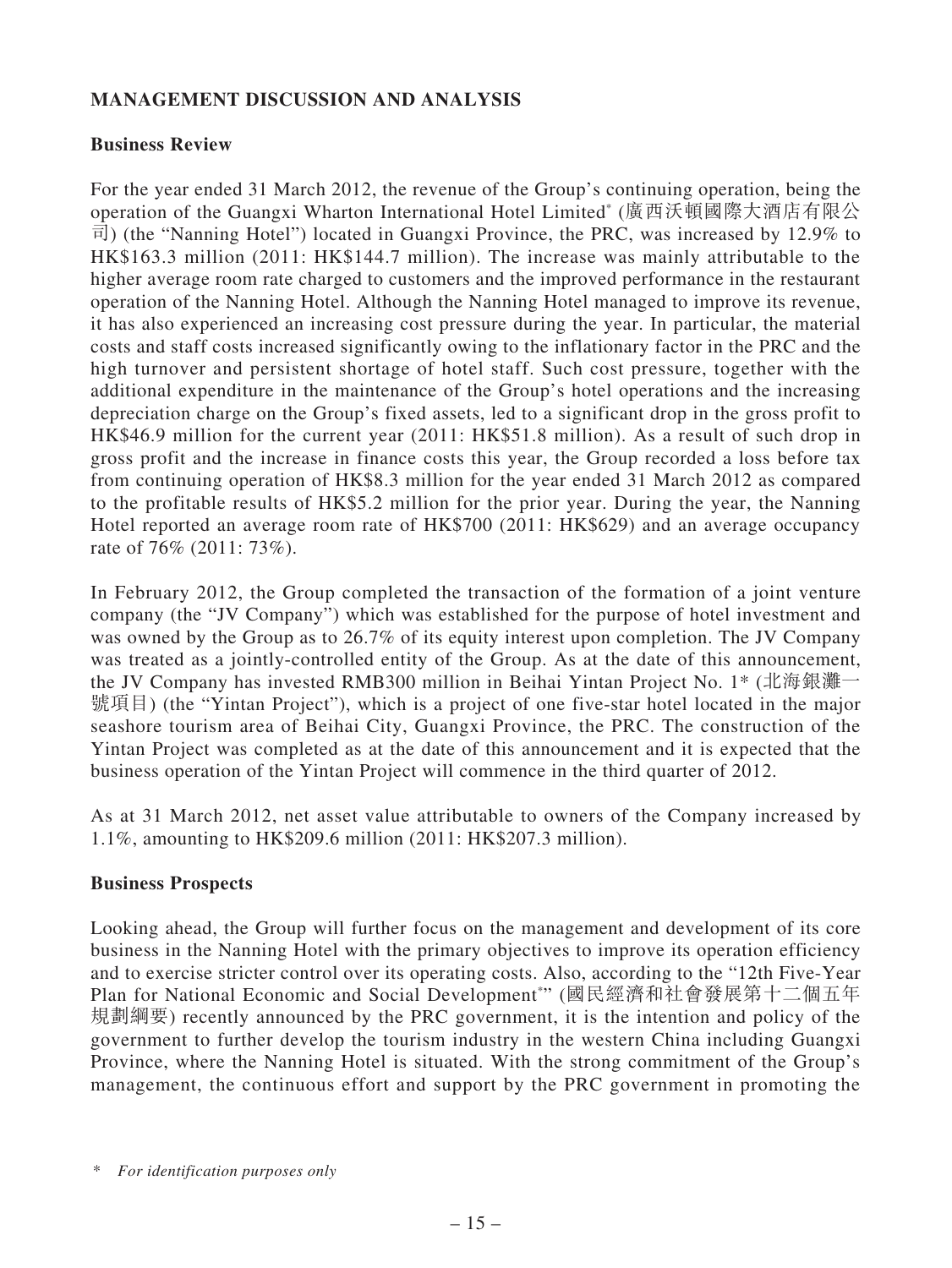## **MANAGEMENT DISCUSSION AND ANALYSIS**

### **Business Review**

For the year ended 31 March 2012, the revenue of the Group's continuing operation, being the operation of the Guangxi Wharton International Hotel Limited\* (廣西沃頓國際大酒店有限公 司) (the "Nanning Hotel") located in Guangxi Province, the PRC, was increased by 12.9% to HK\$163.3 million (2011: HK\$144.7 million). The increase was mainly attributable to the higher average room rate charged to customers and the improved performance in the restaurant operation of the Nanning Hotel. Although the Nanning Hotel managed to improve its revenue, it has also experienced an increasing cost pressure during the year. In particular, the material costs and staff costs increased significantly owing to the inflationary factor in the PRC and the high turnover and persistent shortage of hotel staff. Such cost pressure, together with the additional expenditure in the maintenance of the Group's hotel operations and the increasing depreciation charge on the Group's fixed assets, led to a significant drop in the gross profit to HK\$46.9 million for the current year (2011: HK\$51.8 million). As a result of such drop in gross profit and the increase in finance costs this year, the Group recorded a loss before tax from continuing operation of HK\$8.3 million for the year ended 31 March 2012 as compared to the profitable results of HK\$5.2 million for the prior year. During the year, the Nanning Hotel reported an average room rate of HK\$700 (2011: HK\$629) and an average occupancy rate of 76% (2011: 73%).

In February 2012, the Group completed the transaction of the formation of a joint venture company (the "JV Company") which was established for the purpose of hotel investment and was owned by the Group as to 26.7% of its equity interest upon completion. The JV Company was treated as a jointly-controlled entity of the Group. As at the date of this announcement, the JV Company has invested RMB300 million in Beihai Yintan Project No. 1\* (北海銀灘一 號項目) (the "Yintan Project"), which is a project of one five-star hotel located in the major seashore tourism area of Beihai City, Guangxi Province, the PRC. The construction of the Yintan Project was completed as at the date of this announcement and it is expected that the business operation of the Yintan Project will commence in the third quarter of 2012.

As at 31 March 2012, net asset value attributable to owners of the Company increased by 1.1%, amounting to HK\$209.6 million (2011: HK\$207.3 million).

### **Business Prospects**

Looking ahead, the Group will further focus on the management and development of its core business in the Nanning Hotel with the primary objectives to improve its operation efficiency and to exercise stricter control over its operating costs. Also, according to the "12th Five-Year Plan for National Economic and Social Development\* " (國民經濟和社會發展第十二個五年 規劃綱要) recently announced by the PRC government, it is the intention and policy of the government to further develop the tourism industry in the western China including Guangxi Province, where the Nanning Hotel is situated. With the strong commitment of the Group's management, the continuous effort and support by the PRC government in promoting the

<sup>\*</sup> *For identification purposes only*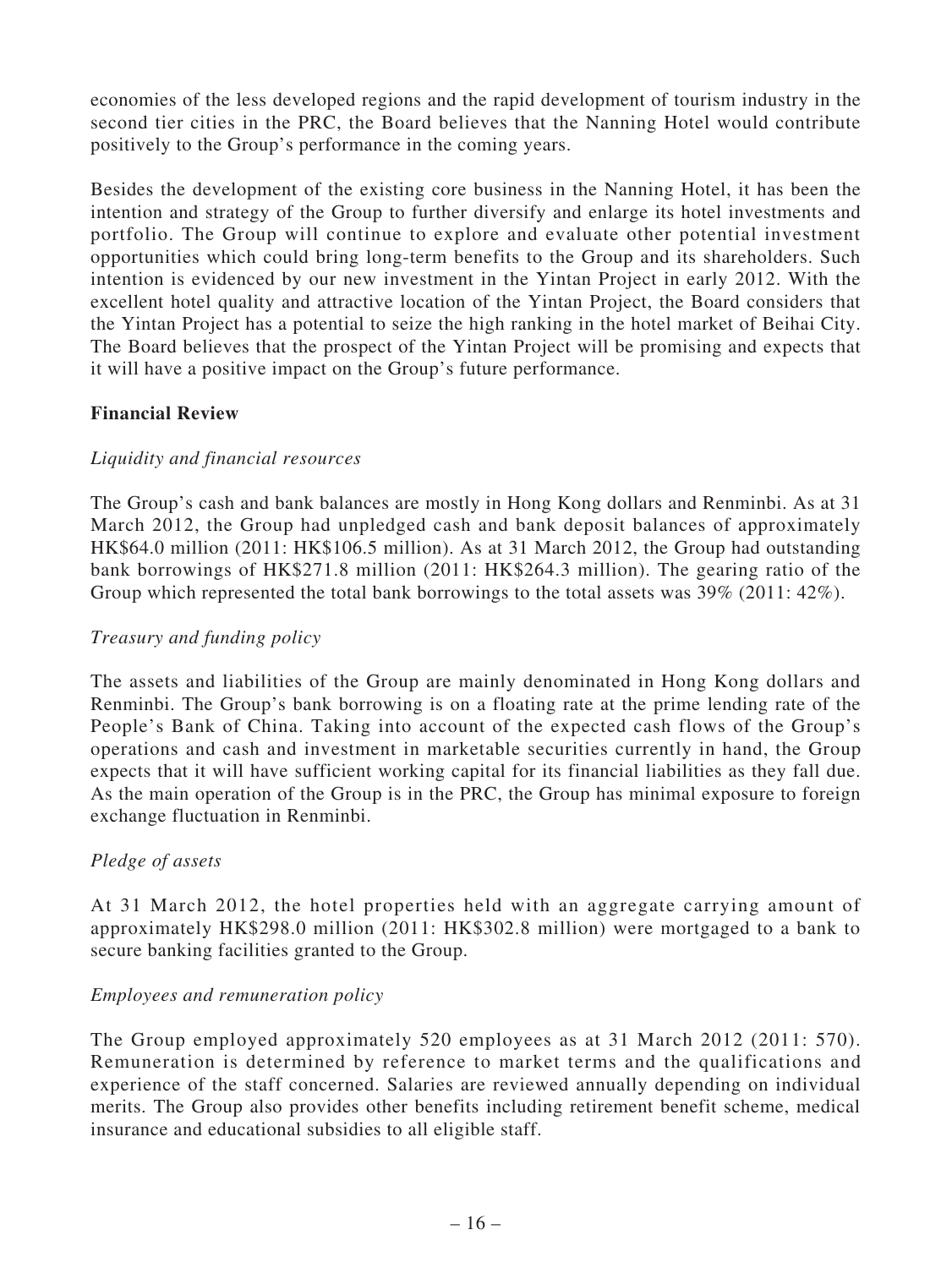economies of the less developed regions and the rapid development of tourism industry in the second tier cities in the PRC, the Board believes that the Nanning Hotel would contribute positively to the Group's performance in the coming years.

Besides the development of the existing core business in the Nanning Hotel, it has been the intention and strategy of the Group to further diversify and enlarge its hotel investments and portfolio. The Group will continue to explore and evaluate other potential investment opportunities which could bring long-term benefits to the Group and its shareholders. Such intention is evidenced by our new investment in the Yintan Project in early 2012. With the excellent hotel quality and attractive location of the Yintan Project, the Board considers that the Yintan Project has a potential to seize the high ranking in the hotel market of Beihai City. The Board believes that the prospect of the Yintan Project will be promising and expects that it will have a positive impact on the Group's future performance.

## **Financial Review**

### *Liquidity and financial resources*

The Group's cash and bank balances are mostly in Hong Kong dollars and Renminbi. As at 31 March 2012, the Group had unpledged cash and bank deposit balances of approximately HK\$64.0 million (2011: HK\$106.5 million). As at 31 March 2012, the Group had outstanding bank borrowings of HK\$271.8 million (2011: HK\$264.3 million). The gearing ratio of the Group which represented the total bank borrowings to the total assets was 39% (2011: 42%).

### *Treasury and funding policy*

The assets and liabilities of the Group are mainly denominated in Hong Kong dollars and Renminbi. The Group's bank borrowing is on a floating rate at the prime lending rate of the People's Bank of China. Taking into account of the expected cash flows of the Group's operations and cash and investment in marketable securities currently in hand, the Group expects that it will have sufficient working capital for its financial liabilities as they fall due. As the main operation of the Group is in the PRC, the Group has minimal exposure to foreign exchange fluctuation in Renminbi.

### *Pledge of assets*

At 31 March 2012, the hotel properties held with an aggregate carrying amount of approximately HK\$298.0 million (2011: HK\$302.8 million) were mortgaged to a bank to secure banking facilities granted to the Group.

## *Employees and remuneration policy*

The Group employed approximately 520 employees as at 31 March 2012 (2011: 570). Remuneration is determined by reference to market terms and the qualifications and experience of the staff concerned. Salaries are reviewed annually depending on individual merits. The Group also provides other benefits including retirement benefit scheme, medical insurance and educational subsidies to all eligible staff.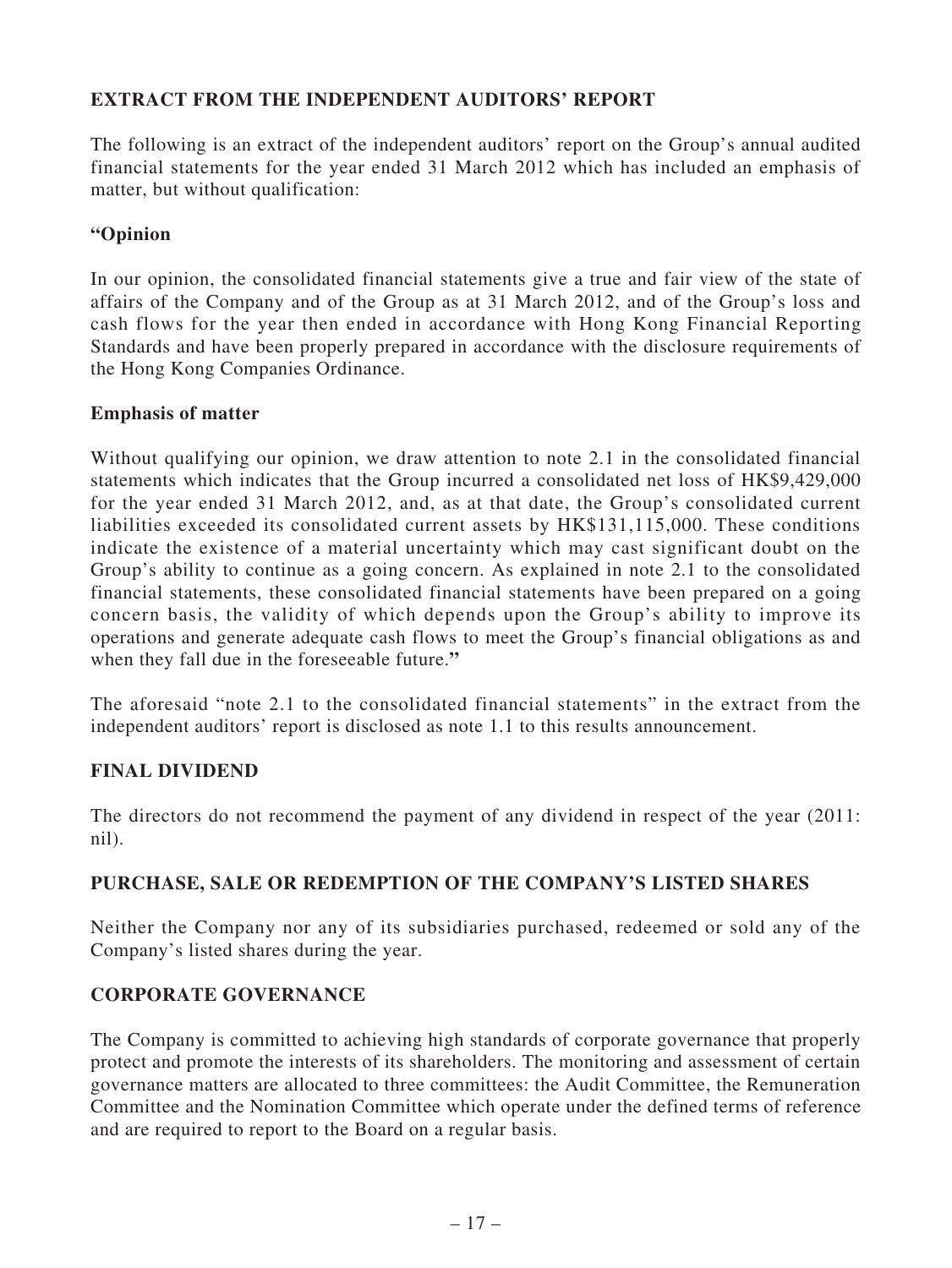## **EXTRACT FROM THE INDEPENDENT AUDITORS' REPORT**

The following is an extract of the independent auditors' report on the Group's annual audited financial statements for the year ended 31 March 2012 which has included an emphasis of matter, but without qualification:

## **"Opinion**

In our opinion, the consolidated financial statements give a true and fair view of the state of affairs of the Company and of the Group as at 31 March 2012, and of the Group's loss and cash flows for the year then ended in accordance with Hong Kong Financial Reporting Standards and have been properly prepared in accordance with the disclosure requirements of the Hong Kong Companies Ordinance.

### **Emphasis of matter**

Without qualifying our opinion, we draw attention to note 2.1 in the consolidated financial statements which indicates that the Group incurred a consolidated net loss of HK\$9,429,000 for the year ended 31 March 2012, and, as at that date, the Group's consolidated current liabilities exceeded its consolidated current assets by HK\$131,115,000. These conditions indicate the existence of a material uncertainty which may cast significant doubt on the Group's ability to continue as a going concern. As explained in note 2.1 to the consolidated financial statements, these consolidated financial statements have been prepared on a going concern basis, the validity of which depends upon the Group's ability to improve its operations and generate adequate cash flows to meet the Group's financial obligations as and when they fall due in the foreseeable future.**"**

The aforesaid "note 2.1 to the consolidated financial statements" in the extract from the independent auditors' report is disclosed as note 1.1 to this results announcement.

## **FINAL DIVIDEND**

The directors do not recommend the payment of any dividend in respect of the year (2011: nil).

## **PURCHASE, SALE OR REDEMPTION OF THE COMPANY'S LISTED SHARES**

Neither the Company nor any of its subsidiaries purchased, redeemed or sold any of the Company's listed shares during the year.

## **CORPORATE GOVERNANCE**

The Company is committed to achieving high standards of corporate governance that properly protect and promote the interests of its shareholders. The monitoring and assessment of certain governance matters are allocated to three committees: the Audit Committee, the Remuneration Committee and the Nomination Committee which operate under the defined terms of reference and are required to report to the Board on a regular basis.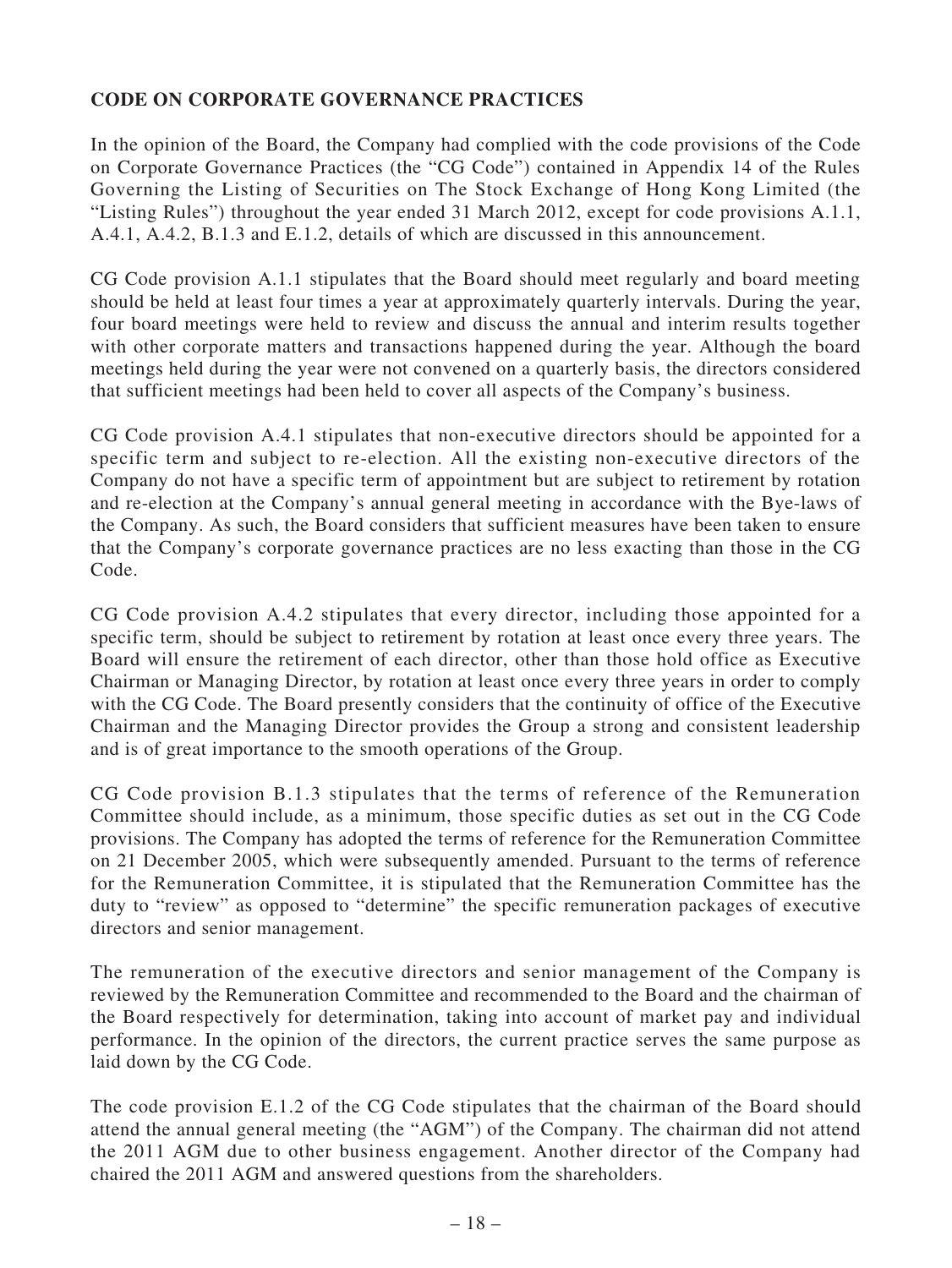## **CODE ON CORPORATE GOVERNANCE PRACTICES**

In the opinion of the Board, the Company had complied with the code provisions of the Code on Corporate Governance Practices (the "CG Code") contained in Appendix 14 of the Rules Governing the Listing of Securities on The Stock Exchange of Hong Kong Limited (the "Listing Rules") throughout the year ended 31 March 2012, except for code provisions A.1.1, A.4.1, A.4.2, B.1.3 and E.1.2, details of which are discussed in this announcement.

CG Code provision A.1.1 stipulates that the Board should meet regularly and board meeting should be held at least four times a year at approximately quarterly intervals. During the year, four board meetings were held to review and discuss the annual and interim results together with other corporate matters and transactions happened during the year. Although the board meetings held during the year were not convened on a quarterly basis, the directors considered that sufficient meetings had been held to cover all aspects of the Company's business.

CG Code provision A.4.1 stipulates that non-executive directors should be appointed for a specific term and subject to re-election. All the existing non-executive directors of the Company do not have a specific term of appointment but are subject to retirement by rotation and re-election at the Company's annual general meeting in accordance with the Bye-laws of the Company. As such, the Board considers that sufficient measures have been taken to ensure that the Company's corporate governance practices are no less exacting than those in the CG Code.

CG Code provision A.4.2 stipulates that every director, including those appointed for a specific term, should be subject to retirement by rotation at least once every three years. The Board will ensure the retirement of each director, other than those hold office as Executive Chairman or Managing Director, by rotation at least once every three years in order to comply with the CG Code. The Board presently considers that the continuity of office of the Executive Chairman and the Managing Director provides the Group a strong and consistent leadership and is of great importance to the smooth operations of the Group.

CG Code provision B.1.3 stipulates that the terms of reference of the Remuneration Committee should include, as a minimum, those specific duties as set out in the CG Code provisions. The Company has adopted the terms of reference for the Remuneration Committee on 21 December 2005, which were subsequently amended. Pursuant to the terms of reference for the Remuneration Committee, it is stipulated that the Remuneration Committee has the duty to "review" as opposed to "determine" the specific remuneration packages of executive directors and senior management.

The remuneration of the executive directors and senior management of the Company is reviewed by the Remuneration Committee and recommended to the Board and the chairman of the Board respectively for determination, taking into account of market pay and individual performance. In the opinion of the directors, the current practice serves the same purpose as laid down by the CG Code.

The code provision E.1.2 of the CG Code stipulates that the chairman of the Board should attend the annual general meeting (the "AGM") of the Company. The chairman did not attend the 2011 AGM due to other business engagement. Another director of the Company had chaired the 2011 AGM and answered questions from the shareholders.